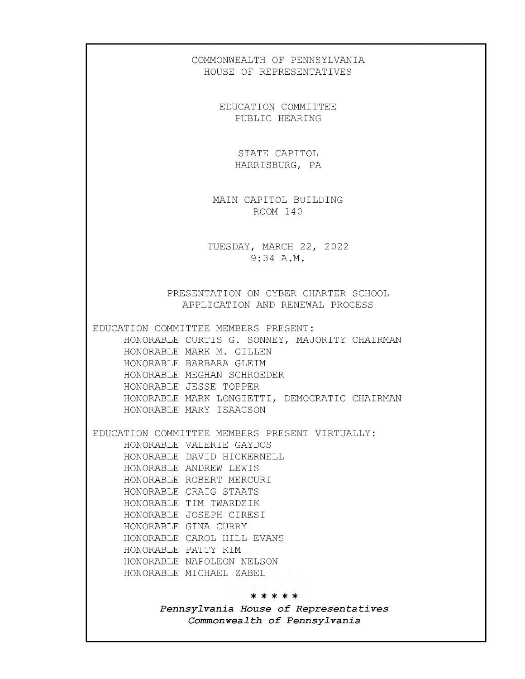## COMMONWEALTH OF PENNSYLVANIA HOUSE OF REPRESENTATIVES

EDUCATION COMMITTEE PUBLIC HEARING

> STATE CAPITOL HARRISBURG, PA

MAIN CAPITOL BUILDING ROOM 14 0

TUESDAY, MARCH 22, 2022 9:34 A.M.

PRESENTATION ON CYBER CHARTER SCHOOL APPLICATION AND RENEWAL PROCESS

EDUCATION COMMITTEE MEMBERS PRESENT:

HONORABLE CURTIS G. SONNEY, MAJORITY CHAIRMAN HONORABLE MARK M. GILLEN HONORABLE BARBARA GLEIM HONORABLE MEGHAN SCHROEDER HONORABLE JESSE TOPPER HONORABLE MARK LONGIETTI, DEMOCRATIC CHAIRMAN HONORABLE MARY ISAACSON

EDUCATION COMMITTEE MEMBERS PRESENT VIRTUALLY:

HONORABLE VALERIE GAYDOS HONORABLE DAVID HICKERNELL HONORABLE ANDREW LEWIS HONORABLE ROBERT MERCURI HONORABLE CRAIG STAATS HONORABLE TIM TWARDZIK HONORABLE JOSEPH CIRESI HONORABLE GINA CURRY HONORABLE CAROL HILL-EVANS HONORABLE PATTY KIM HONORABLE NAPOLEON NELSON HONORABLE MICHAEL ZABEL

\*\*\*\*\*

*Pennsylvania House of Representatives Commonwealth of Pennsylvania*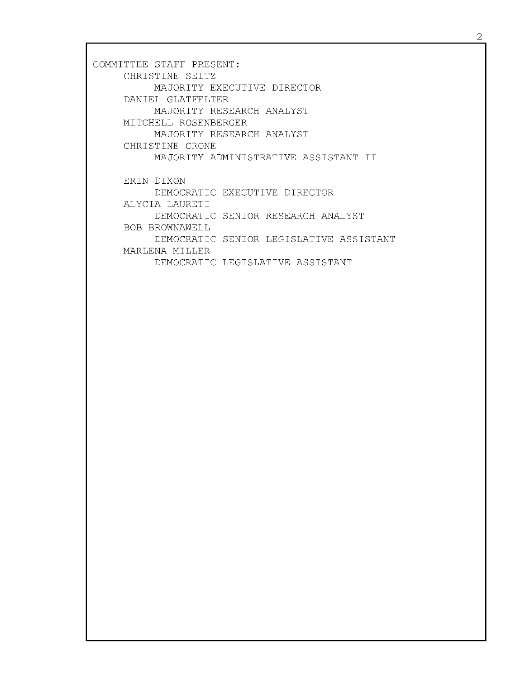COMMITTEE STAFF PRESENT: CHRISTINE SEITZ MAJORITY EXECUTIVE DIRECTOR DANIEL GLATFELTER MAJORITY RESEARCH ANALYST MITCHELL ROSENBERGER MAJORITY RESEARCH ANALYST CHRISTINE CRONE MAJORITY ADMINISTRATIVE ASSISTANT II ERIN DIXON DEMOCRATIC EXECUTIVE DIRECTOR ALYCIA LAURETI DEMOCRATIC SENIOR RESEARCH ANALYST BOB BROWNAWELL DEMOCRATIC SENIOR LEGISLATIVE ASSISTANT MARLENA MILLER DEMOCRATIC LEGISLATIVE ASSISTANT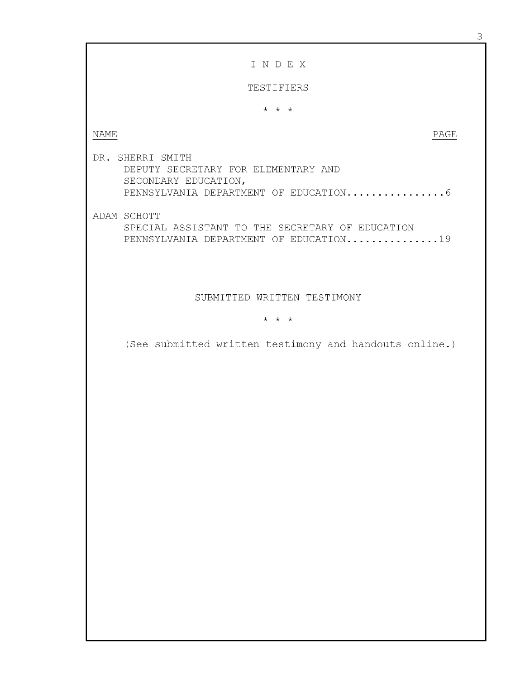3

## I N D E X

TESTIFIERS

*~k k k*

NAME PAGE

DR. SHERRI SMITH DEPUTY SECRETARY FOR ELEMENTARY AND SECONDARY EDUCATION, PENNSYLVANIA DEPARTMENT OF EDUCATION............... 6

ADAM SCHOTT

SPECIAL ASSISTANT TO THE SECRETARY OF EDUCATION PENNSYLVANIA DEPARTMENT OF EDUCATION..............19

SUBMITTED WRITTEN TESTIMONY

## *~k ~k ~k*

(See submitted written testimony and handouts online.)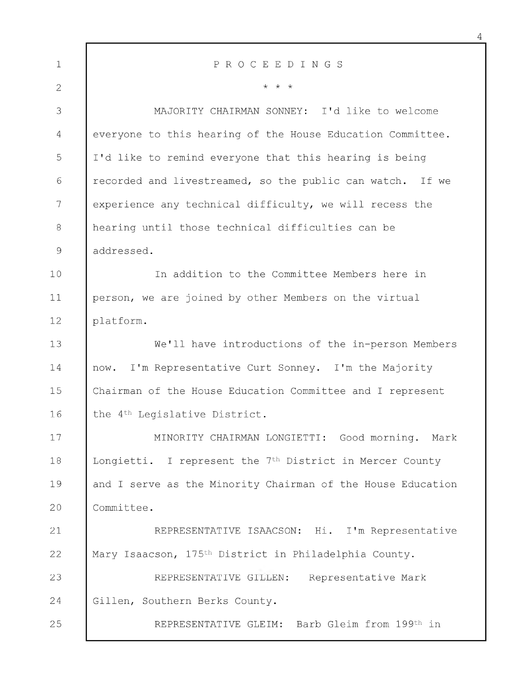| $\mathbf{1}$   | PROCEEDINGS                                                          |
|----------------|----------------------------------------------------------------------|
| $\mathbf{2}$   | $\star$ $\star$ $\star$                                              |
| 3              | MAJORITY CHAIRMAN SONNEY: I'd like to welcome                        |
| $\overline{4}$ | everyone to this hearing of the House Education Committee.           |
| 5              | I'd like to remind everyone that this hearing is being               |
| 6              | recorded and livestreamed, so the public can watch. If we            |
| 7              | experience any technical difficulty, we will recess the              |
| $8\,$          | hearing until those technical difficulties can be                    |
| 9              | addressed.                                                           |
| 10             | In addition to the Committee Members here in                         |
| 11             | person, we are joined by other Members on the virtual                |
| 12             | platform.                                                            |
| 13             | We'll have introductions of the in-person Members                    |
| 14             | now. I'm Representative Curt Sonney. I'm the Majority                |
| 15             | Chairman of the House Education Committee and I represent            |
| 16             | the 4 <sup>th</sup> Legislative District.                            |
| 17             | MINORITY CHAIRMAN LONGIETTI: Good morning. Mark                      |
| 18             | Longietti. I represent the 7 <sup>th</sup> District in Mercer County |
| 19             | and I serve as the Minority Chairman of the House Education          |
| 20             | Committee.                                                           |
| 21             | REPRESENTATIVE ISAACSON: Hi. I'm Representative                      |
| 22             | Mary Isaacson, 175 <sup>th</sup> District in Philadelphia County.    |
| 23             | REPRESENTATIVE GILLEN: Representative Mark                           |
| 24             | Gillen, Southern Berks County.                                       |
| 25             | REPRESENTATIVE GLEIM: Barb Gleim from 199th in                       |
|                |                                                                      |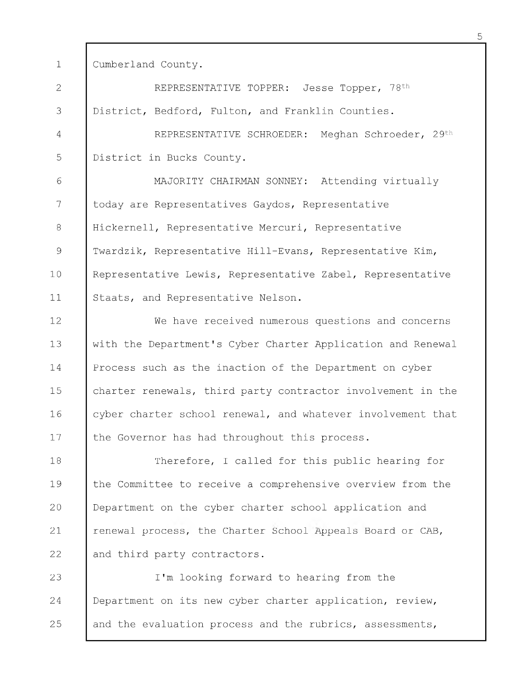1 Cumberland County.

2 3 4 5 6 7 8 9 10 11 12 13 14 15 16 17 18 19 20 21 22 REPRESENTATIVE TOPPER: Jesse Topper, 78<sup>th</sup> District, Bedford, Fulton, and Franklin Counties. REPRESENTATIVE SCHROEDER: Meghan Schroeder, 29th District in Bucks County. MAJORITY CHAIRMAN SONNEY: Attending virtually today are Representatives Gaydos, Representative Hickernell, Representative Mercuri, Representative Twardzik, Representative Hill-Evans, Representative Kim, Representative Lewis, Representative Zabel, Representative Staats, and Representative Nelson. We have received numerous questions and concerns with the Department's Cyber Charter Application and Renewal Process such as the inaction of the Department on cyber charter renewals, third party contractor involvement in the cyber charter school renewal, and whatever involvement that the Governor has had throughout this process. Therefore, I called for this public hearing for the Committee to receive a comprehensive overview from the Department on the cyber charter school application and renewal process, the Charter School Appeals Board or CAB, and third party contractors.

23 24 25 I'm looking forward to hearing from the Department on its new cyber charter application, review, and the evaluation process and the rubrics, assessments,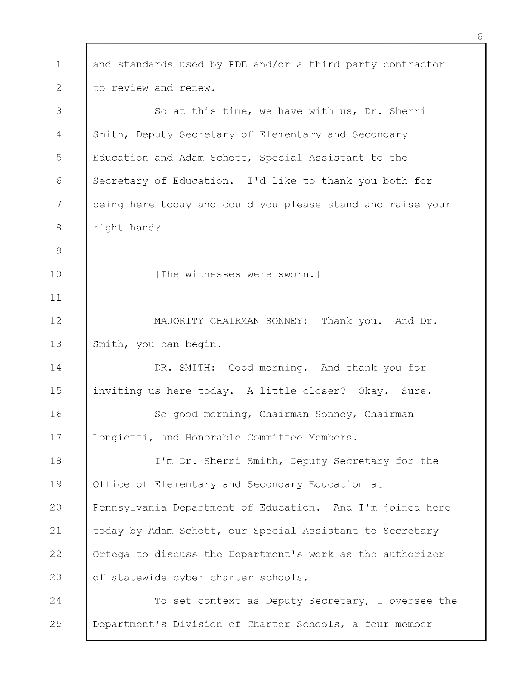1 2 3 4 5 6 7 8 9 10 11 12 13 14 15 16 17 18 19 20 21 22 23 24 25 and standards used by PDE and/or a third party contractor to review and renew. So at this time, we have with us, Dr. Sherri Smith, Deputy Secretary of Elementary and Secondary Education and Adam Schott, Special Assistant to the Secretary of Education. I 'd like to thank you both for being here today and could you please stand and raise your right hand? [The witnesses were sworn.] MAJORITY CHAIRMAN SONNEY: Thank you. And Dr. Smith, you can begin. DR. SMITH: Good morning. And thank you for inviting us here today. A little closer? Okay. Sure. So good morning, Chairman Sonney, Chairman Longietti, and Honorable Committee Members. I'm Dr. Sherri Smith, Deputy Secretary for the Office of Elementary and Secondary Education at Pennsylvania Department of Education. And I 'm joined here today by Adam Schott, our Special Assistant to Secretary Ortega to discuss the Department's work as the authorizer of statewide cyber charter schools. To set context as Deputy Secretary, I oversee the Department's Division of Charter Schools, a four member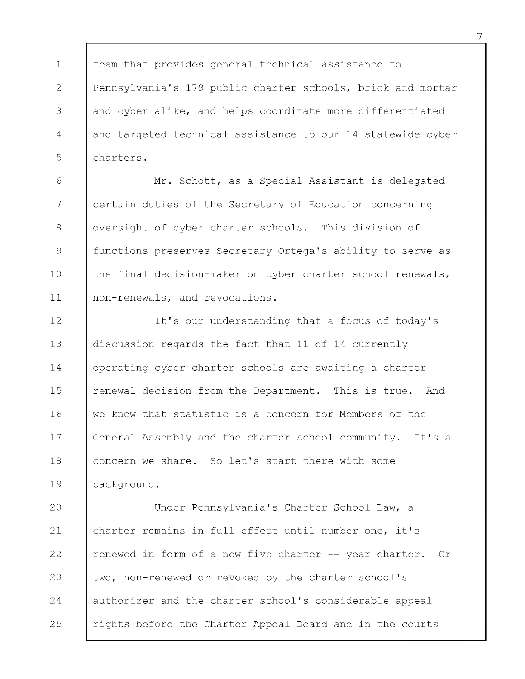1 2 3 4 5 team that provides general technical assistance to Pennsylvania's 179 public charter schools, brick and mortar and cyber alike, and helps coordinate more differentiated and targeted technical assistance to our 14 statewide cyber charters.

6 7 8 9 10 11 Mr. Schott, as a Special Assistant is delegated certain duties of the Secretary of Education concerning oversight of cyber charter schools. This division of functions preserves Secretary Ortega's ability to serve as the final decision-maker on cyber charter school renewals, non-renewals, and revocations.

12 13 14 15 16 17 18 19 It's our understanding that a focus of today's discussion regards the fact that 11 of 14 currently operating cyber charter schools are awaiting a charter renewal decision from the Department. This is true. And we know that statistic is a concern for Members of the General Assembly and the charter school community. It's a concern we share. So let's start there with some background.

20 21 22 23 24 25 Under Pennsylvania's Charter School Law, a charter remains in full effect until number one, it's renewed in form of a new five charter -- year charter. Or two, non-renewed or revoked by the charter school's authorizer and the charter school's considerable appeal rights before the Charter Appeal Board and in the courts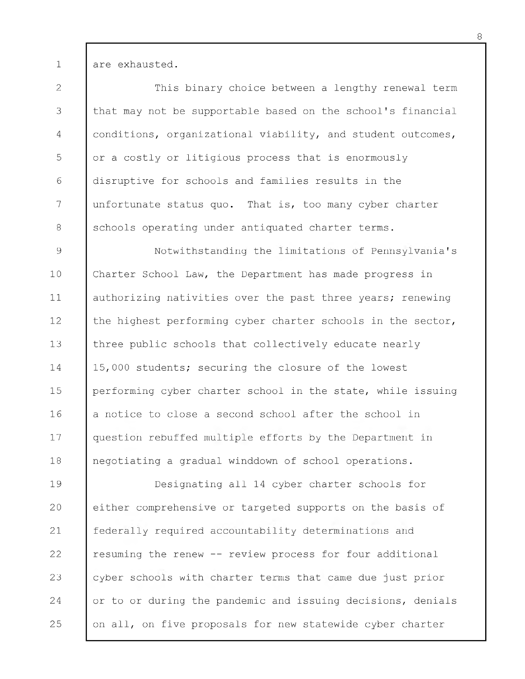are exhausted.

1

2 3 4 5 6 7 8 This binary choice between a lengthy renewal term that may not be supportable based on the school's financial conditions, organizational viability, and student outcomes, or a costly or litigious process that is enormously disruptive for schools and families results in the unfortunate status quo. That is, too many cyber charter schools operating under antiquated charter terms.

9 10 11 12 13 14 15 16 17 18 Notwithstanding the limitations of Pennsylvania's Charter School Law, the Department has made progress in authorizing nativities over the past three years; renewing the highest performing cyber charter schools in the sector, three public schools that collectively educate nearly 15,000 students; securing the closure of the lowest performing cyber charter school in the state, while issuing a notice to close a second school after the school in question rebuffed multiple efforts by the Department in negotiating a gradual winddown of school operations.

19 20 21 22 23 24 25 Designating all 14 cyber charter schools for either comprehensive or targeted supports on the basis of federally required accountability determinations and resuming the renew -- review process for four additional cyber schools with charter terms that came due just prior or to or during the pandemic and issuing decisions, denials on all, on five proposals for new statewide cyber charter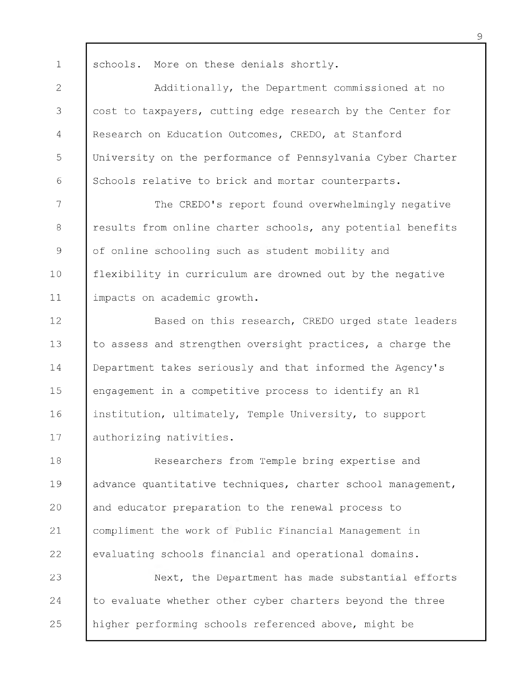schools. More on these denials shortly.

1

2 3 4 5 6 Additionally, the Department commissioned at no cost to taxpayers, cutting edge research by the Center for Research on Education Outcomes, CREDO, at Stanford University on the performance of Pennsylvania Cyber Charter Schools relative to brick and mortar counterparts.

7 8 9 10 11 The CREDO's report found overwhelmingly negative results from online charter schools, any potential benefits of online schooling such as student mobility and flexibility in curriculum are drowned out by the negative impacts on academic growth.

12 13 14 15 16 17 Based on this research, CREDO urged state leaders to assess and strengthen oversight practices, a charge the Department takes seriously and that informed the Agency's engagement in a competitive process to identify an R1 institution, ultimately, Temple University, to support authorizing nativities.

18 19 20 21 22 Researchers from Temple bring expertise and advance quantitative techniques, charter school management, and educator preparation to the renewal process to compliment the work of Public Financial Management in evaluating schools financial and operational domains.

23 24 25 Next, the Department has made substantial efforts to evaluate whether other cyber charters beyond the three higher performing schools referenced above, might be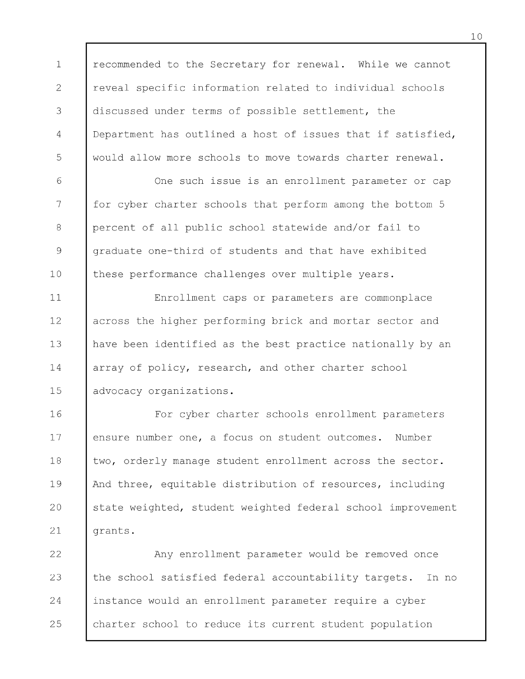1 2 3 4 5 recommended to the Secretary for renewal. While we cannot reveal specific information related to individual schools discussed under terms of possible settlement, the Department has outlined a host of issues that if satisfied, would allow more schools to move towards charter renewal.

6 7 8 9 10 One such issue is an enrollment parameter or cap for cyber charter schools that perform among the bottom 5 percent of all public school statewide and/or fail to graduate one-third of students and that have exhibited these performance challenges over multiple years.

11 12 13 14 15 Enrollment caps or parameters are commonplace across the higher performing brick and mortar sector and have been identified as the best practice nationally by an array of policy, research, and other charter school advocacy organizations.

16 17 18 19 20 21 For cyber charter schools enrollment parameters ensure number one, a focus on student outcomes. Number two, orderly manage student enrollment across the sector. And three, equitable distribution of resources, including state weighted, student weighted federal school improvement grants.

22 23 24 25 Any enrollment parameter would be removed once the school satisfied federal accountability targets. In no instance would an enrollment parameter require a cyber charter school to reduce its current student population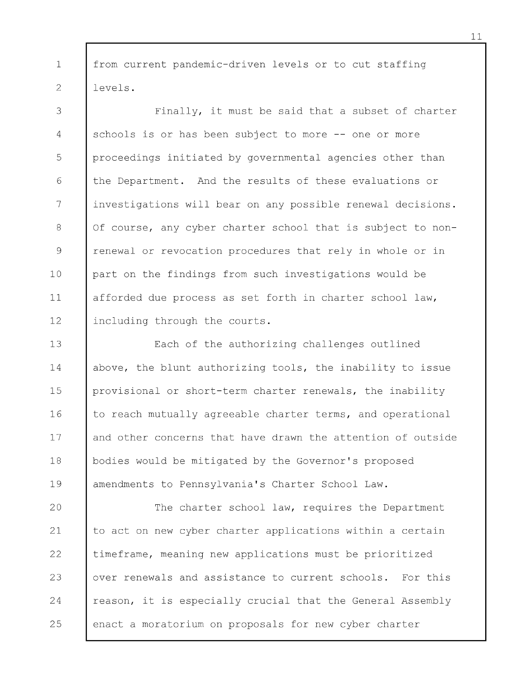1 2 from current pandemic-driven levels or to cut staffing levels.

3 4 5 6 7 8 9 10 11 12 Finally, it must be said that a subset of charter schools is or has been subject to more -- one or more proceedings initiated by governmental agencies other than the Department. And the results of these evaluations or investigations will bear on any possible renewal decisions. Of course, any cyber charter school that is subject to nonrenewal or revocation procedures that rely in whole or in part on the findings from such investigations would be afforded due process as set forth in charter school law, including through the courts.

13 14 15 16 17 18 19 Each of the authorizing challenges outlined above, the blunt authorizing tools, the inability to issue provisional or short-term charter renewals, the inability to reach mutually agreeable charter terms, and operational and other concerns that have drawn the attention of outside bodies would be mitigated by the Governor's proposed amendments to Pennsylvania's Charter School Law.

20 21 22 23 24 25 The charter school law, requires the Department to act on new cyber charter applications within a certain timeframe, meaning new applications must be prioritized over renewals and assistance to current schools. For this reason, it is especially crucial that the General Assembly enact a moratorium on proposals for new cyber charter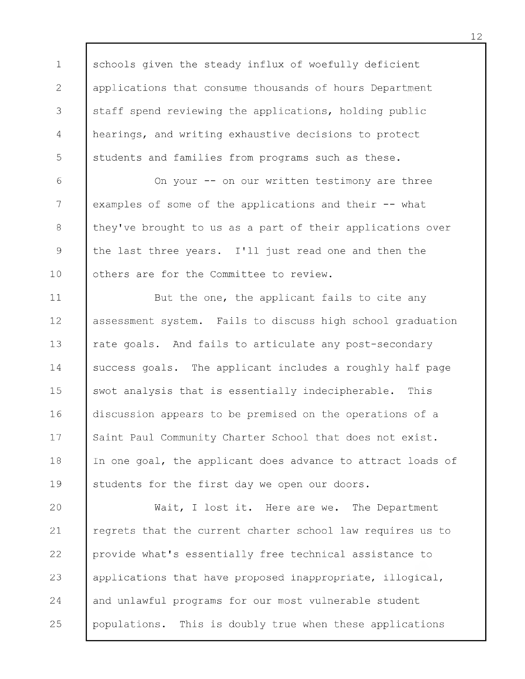1 2 3 4 5 schools given the steady influx of woefully deficient applications that consume thousands of hours Department staff spend reviewing the applications, holding public hearings, and writing exhaustive decisions to protect students and families from programs such as these.

6 7 8 9 10 On your -- on our written testimony are three examples of some of the applications and their -- what they've brought to us as a part of their applications over the last three years. I 'll just read one and then the others are for the Committee to review.

11 12 13 14 15 16 17 18 19 But the one, the applicant fails to cite any assessment system. Fails to discuss high school graduation rate goals. And fails to articulate any post-secondary success goals. The applicant includes a roughly half page swot analysis that is essentially indecipherable. This discussion appears to be premised on the operations of a Saint Paul Community Charter School that does not exist. In one goal, the applicant does advance to attract loads of students for the first day we open our doors.

20 21 22 23 24 25 Wait, I lost it. Here are we. The Department regrets that the current charter school law requires us to provide what's essentially free technical assistance to applications that have proposed inappropriate, illogical, and unlawful programs for our most vulnerable student populations. This is doubly true when these applications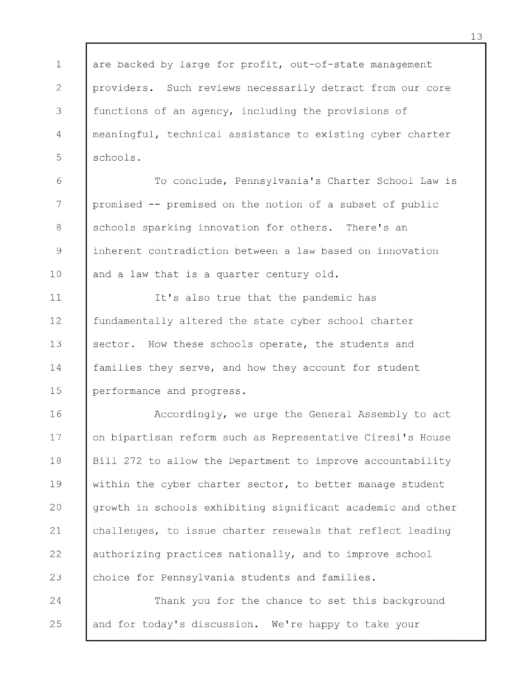1 2 3 4 5 are backed by large for profit, out-of-state management providers. Such reviews necessarily detract from our core functions of an agency, including the provisions of meaningful, technical assistance to existing cyber charter schools.

6 7 8 9 10 To conclude, Pennsylvania's Charter School Law is promised -- premised on the notion of a subset of public schools sparking innovation for others. There's an inherent contradiction between a law based on innovation and a law that is a quarter century old.

11 12 13 14 15 It's also true that the pandemic has fundamentally altered the state cyber school charter sector. How these schools operate, the students and families they serve, and how they account for student performance and progress.

16 17 18 19 20 21 22 23 Accordingly, we urge the General Assembly to act on bipartisan reform such as Representative Ciresi's House Bill 272 to allow the Department to improve accountability within the cyber charter sector, to better manage student growth in schools exhibiting significant academic and other challenges, to issue charter renewals that reflect leading authorizing practices nationally, and to improve school choice for Pennsylvania students and families.

24 25 Thank you for the chance to set this background and for today's discussion. We're happy to take your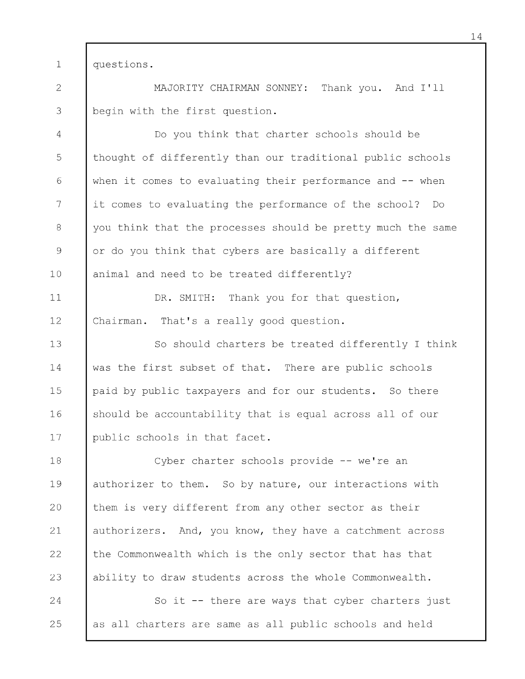1 questions.

2 3 MAJORITY CHAIRMAN SONNEY: Thank you. And I 'll begin with the first question.

4 5 6 7 8 9 10 Do you think that charter schools should be thought of differently than our traditional public schools when it comes to evaluating their performance and -- when it comes to evaluating the performance of the school? Do you think that the processes should be pretty much the same or do you think that cybers are basically a different animal and need to be treated differently?

11 12 DR. SMITH: Thank you for that question, Chairman. That's a really good question.

13 14 15 16 17 So should charters be treated differently I think was the first subset of that. There are public schools paid by public taxpayers and for our students. So there should be accountability that is equal across all of our public schools in that facet.

18 19 20 21 22 23 Cyber charter schools provide -- we're an authorizer to them. So by nature, our interactions with them is very different from any other sector as their authorizers. And, you know, they have a catchment across the Commonwealth which is the only sector that has that ability to draw students across the whole Commonwealth.

24 25 So it -- there are ways that cyber charters just as all charters are same as all public schools and held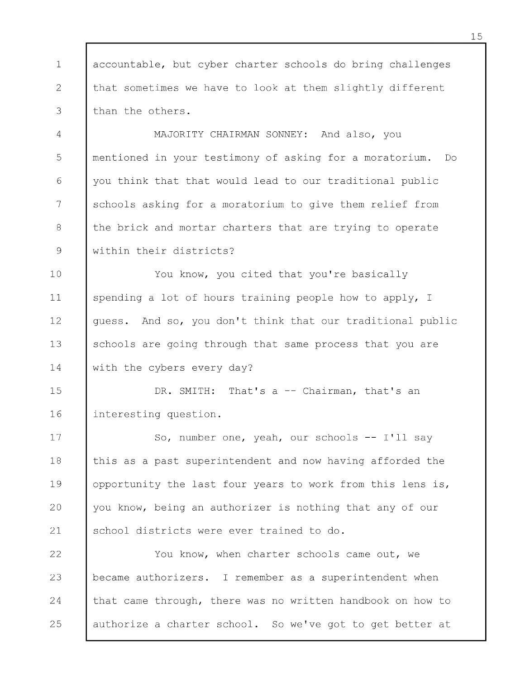1 2 3 accountable, but cyber charter schools do bring challenges that sometimes we have to look at them slightly different than the others.

4 5 6 7 8 9 MAJORITY CHAIRMAN SONNEY: And also, you mentioned in your testimony of asking for a moratorium. Do you think that that would lead to our traditional public schools asking for a moratorium to give them relief from the brick and mortar charters that are trying to operate within their districts?

10 11 12 13 14 You know, you cited that you're basically spending a lot of hours training people how to apply, I guess. And so, you don't think that our traditional public schools are going through that same process that you are with the cybers every day?

15 16 DR. SMITH: That's a -- Chairman, that's an interesting question.

17 18 19 20 21 So, number one, yeah, our schools -- I 'll say this as a past superintendent and now having afforded the opportunity the last four years to work from this lens is, you know, being an authorizer is nothing that any of our school districts were ever trained to do.

22 23 24 25 You know, when charter schools came out, we became authorizers. I remember as a superintendent when that came through, there was no written handbook on how to authorize a charter school. So we've got to get better at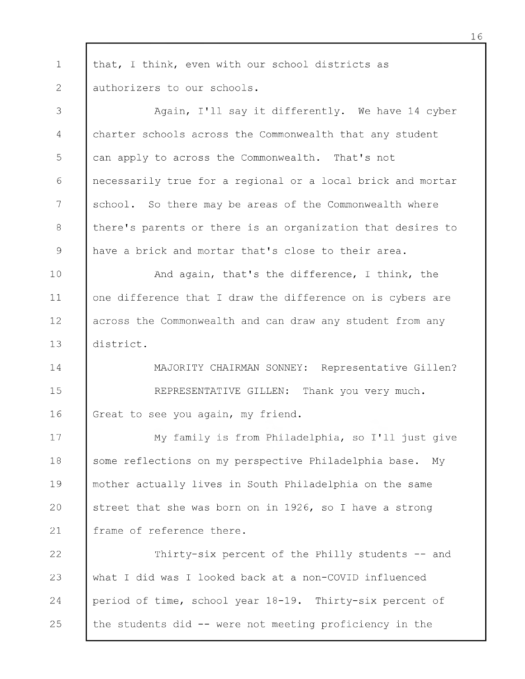1 2 that, I think, even with our school districts as authorizers to our schools.

3 4 5 6 7 8 9 Again, I'll say it differently. We have 14 cyber charter schools across the Commonwealth that any student can apply to across the Commonwealth. That's not necessarily true for a regional or a local brick and mortar school. So there may be areas of the Commonwealth where there's parents or there is an organization that desires to have a brick and mortar that's close to their area.

10 11 12 13 And again, that's the difference, I think, the one difference that I draw the difference on is cybers are across the Commonwealth and can draw any student from any district.

14 15 16 MAJORITY CHAIRMAN SONNEY: Representative Gillen? REPRESENTATIVE GILLEN: Thank you very much. Great to see you again, my friend.

17 18 19 20 21 My family is from Philadelphia, so I 'll just give some reflections on my perspective Philadelphia base. My mother actually lives in South Philadelphia on the same street that she was born on in 1926, so I have a strong frame of reference there.

22 23 24 25 Thirty-six percent of the Philly students -- and what I did was I looked back at a non-COVID influenced period of time, school year 18-19. Thirty-six percent of the students did -- were not meeting proficiency in the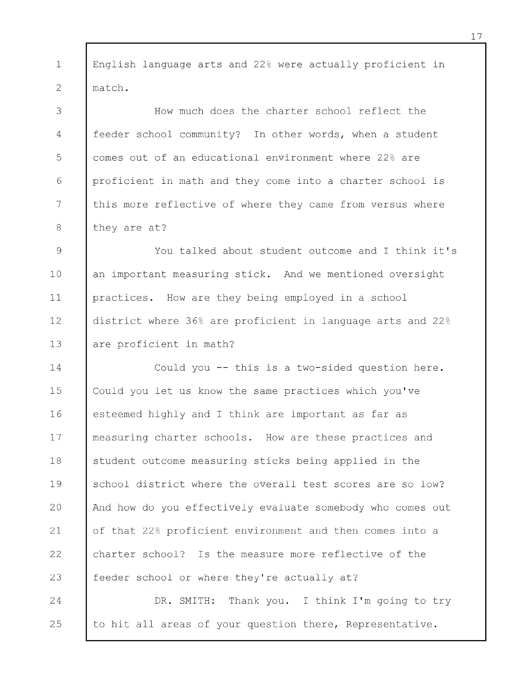1 2 English language arts and 22% were actually proficient in match.

3 4 5 6 7 8 How much does the charter school reflect the feeder school community? In other words, when a student comes out of an educational environment where 22% are proficient in math and they come into a charter school is this more reflective of where they came from versus where they are at?

9 10 11 12 13 You talked about student outcome and I think it's an important measuring stick. And we mentioned oversight practices. How are they being employed in a school district where 36% are proficient in language arts and 22% are proficient in math?

14 15 16 17 18 19 20 21 22 23 Could you -- this is a two-sided question here. Could you let us know the same practices which you've esteemed highly and I think are important as far as measuring charter schools. How are these practices and student outcome measuring sticks being applied in the school district where the overall test scores are so low? And how do you effectively evaluate somebody who comes out of that 22% proficient environment and then comes into a charter school? Is the measure more reflective of the feeder school or where they're actually at?

24 25 DR. SMITH: Thank you. I think I'm going to try to hit all areas of your question there, Representative.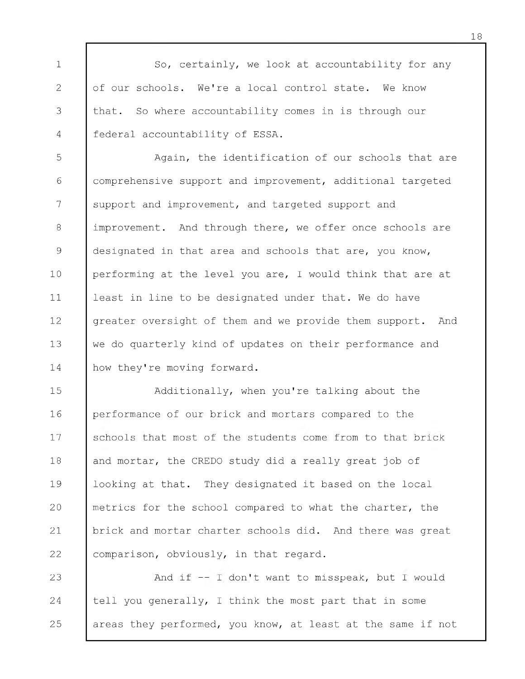1 2 3 4 So, certainly, we look at accountability for any of our schools. We're a local control state. We know that. So where accountability comes in is through our federal accountability of ESSA.

5 6 7 8 9 10 11 12 13 14 Again, the identification of our schools that are comprehensive support and improvement, additional targeted support and improvement, and targeted support and improvement. And through there, we offer once schools are designated in that area and schools that are, you know, performing at the level you are, I would think that are at least in line to be designated under that. We do have greater oversight of them and we provide them support. And we do quarterly kind of updates on their performance and how they're moving forward.

15 16 17 18 19 20 21 22 Additionally, when you're talking about the performance of our brick and mortars compared to the schools that most of the students come from to that brick and mortar, the CREDO study did a really great job of looking at that. They designated it based on the local metrics for the school compared to what the charter, the brick and mortar charter schools did. And there was great comparison, obviously, in that regard.

23 24 25 And if -- I don't want to misspeak, but I would tell you generally, I think the most part that in some areas they performed, you know, at least at the same if not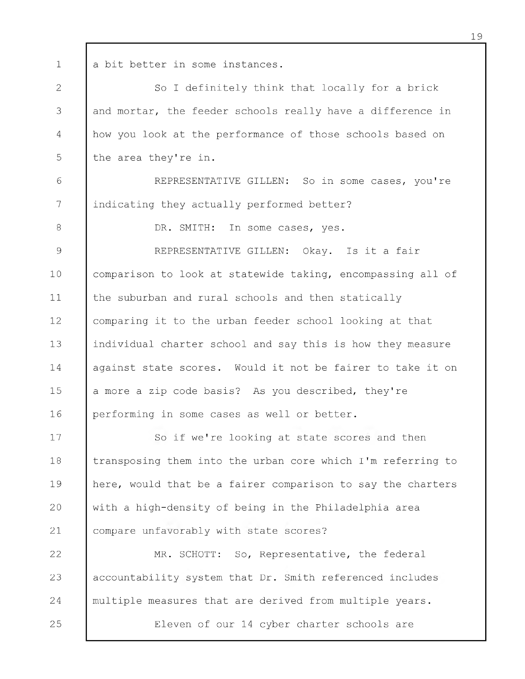1

a bit better in some instances.

2 3 4 5 So I definitely think that locally for a brick and mortar, the feeder schools really have a difference in how you look at the performance of those schools based on the area they're in.

6 7 REPRESENTATIVE GILLEN: So in some cases, you're indicating they actually performed better?

DR. SMITH: In some cases, yes.

8

9

10

11

REPRESENTATIVE GILLEN: Okay. Is it a fair comparison to look at statewide taking, encompassing all of the suburban and rural schools and then statically

12 13 14 15 16 comparing it to the urban feeder school looking at that individual charter school and say this is how they measure against state scores. Would it not be fairer to take it on a more a zip code basis? As you described, they're performing in some cases as well or better.

17 18 19 20 21 So if we're looking at state scores and then transposing them into the urban core which I 'm referring to here, would that be a fairer comparison to say the charters with a high-density of being in the Philadelphia area compare unfavorably with state scores?

22 23 24 25 MR. SCHOTT: So, Representative, the federal accountability system that Dr. Smith referenced includes multiple measures that are derived from multiple years. Eleven of our 14 cyber charter schools are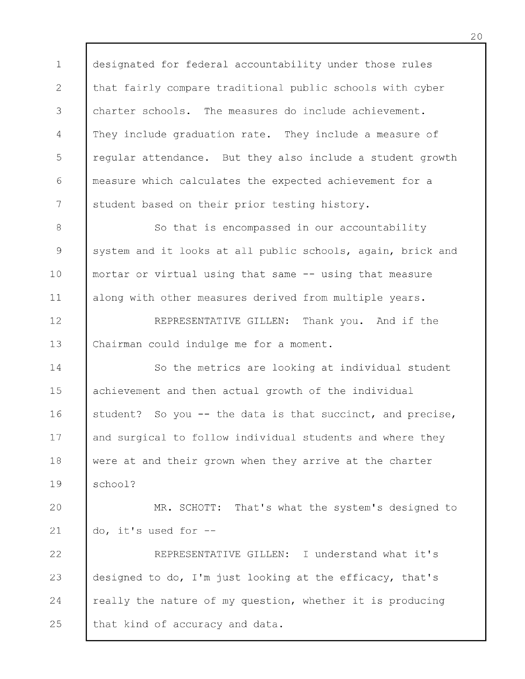1 2 3 4 5 6 7 designated for federal accountability under those rules that fairly compare traditional public schools with cyber charter schools. The measures do include achievement. They include graduation rate. They include a measure of regular attendance. But they also include a student growth measure which calculates the expected achievement for a student based on their prior testing history.

8 9 10 11 So that is encompassed in our accountability system and it looks at all public schools, again, brick and mortar or virtual using that same -- using that measure along with other measures derived from multiple years.

12 13 REPRESENTATIVE GILLEN: Thank you. And if the Chairman could indulge me for a moment.

14 15 16 17 18 19 So the metrics are looking at individual student achievement and then actual growth of the individual student? So you -- the data is that succinct, and precise, and surgical to follow individual students and where they were at and their grown when they arrive at the charter school?

20 21 MR. SCHOTT: That's what the system's designed to do, it's used for -

22 23 24 25 REPRESENTATIVE GILLEN: I understand what it's designed to do, I 'm just looking at the efficacy, that's really the nature of my question, whether it is producing that kind of accuracy and data.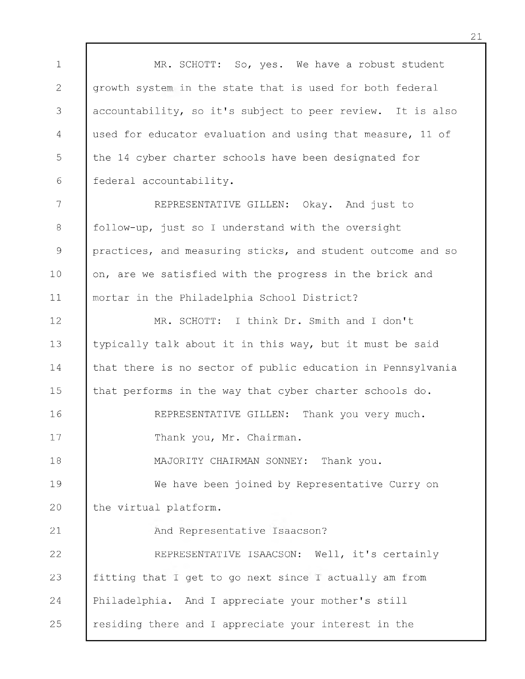1 2 3 4 5 6 7 8 9 10 11 12 13 14 15 16 17 18 19 20 21 22 23 24 25 MR. SCHOTT: So, yes. We have a robust student growth system in the state that is used for both federal accountability, so it's subject to peer review. It is also used for educator evaluation and using that measure, 11 of the 14 cyber charter schools have been designated for federal accountability. REPRESENTATIVE GILLEN: Okay. And just to follow-up, just so I understand with the oversight practices, and measuring sticks, and student outcome and so on, are we satisfied with the progress in the brick and mortar in the Philadelphia School District? MR. SCHOTT: I think Dr. Smith and I don't typically talk about it in this way, but it must be said that there is no sector of public education in Pennsylvania that performs in the way that cyber charter schools do. REPRESENTATIVE GILLEN: Thank you very much. Thank you, Mr. Chairman. MAJORITY CHAIRMAN SONNEY: Thank you. We have been joined by Representative Curry on the virtual platform. And Representative Isaacson? REPRESENTATIVE ISAACSON: Well, it's certainly fitting that I get to go next since I actually am from Philadelphia. And I appreciate your mother's still residing there and I appreciate your interest in the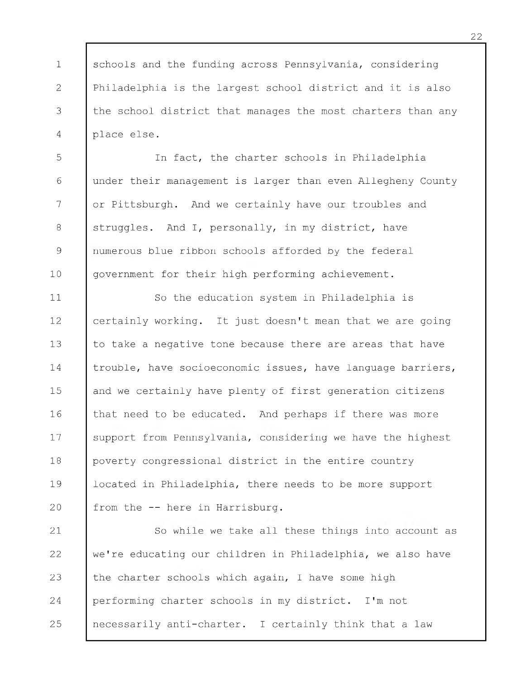1 2 3 4 schools and the funding across Pennsylvania, considering Philadelphia is the largest school district and it is also the school district that manages the most charters than any place else.

5 6 7 8 9 10 In fact, the charter schools in Philadelphia under their management is larger than even Allegheny County or Pittsburgh. And we certainly have our troubles and struggles. And I, personally, in my district, have numerous blue ribbon schools afforded by the federal government for their high performing achievement.

11 12 13 14 15 16 17 18 19 20 So the education system in Philadelphia is certainly working. It just doesn't mean that we are going to take a negative tone because there are areas that have trouble, have socioeconomic issues, have language barriers, and we certainly have plenty of first generation citizens that need to be educated. And perhaps if there was more support from Pennsylvania, considering we have the highest poverty congressional district in the entire country located in Philadelphia, there needs to be more support from the -- here in Harrisburg.

21 22 23 24 25 So while we take all these things into account as we're educating our children in Philadelphia, we also have the charter schools which again, I have some high performing charter schools in my district. I 'm not necessarily anti-charter. I certainly think that a law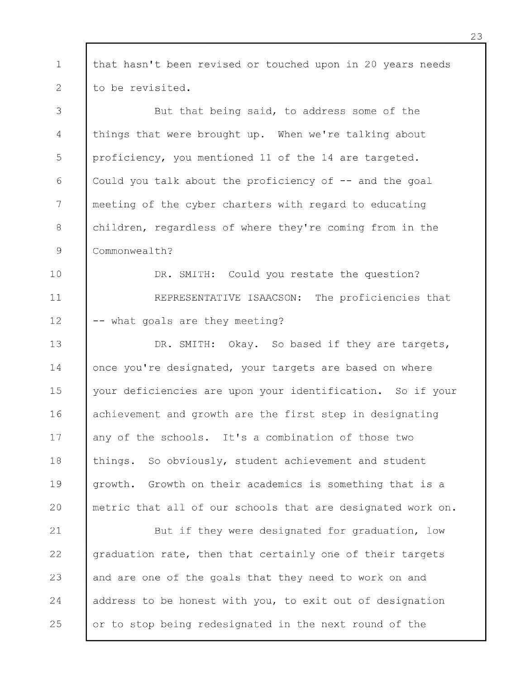1 2 that hasn't been revised or touched upon in 20 years needs to be revisited.

3 4 5 6 7 8 9 But that being said, to address some of the things that were brought up. When we're talking about proficiency, you mentioned 11 of the 14 are targeted. Could you talk about the proficiency of  $-$  and the goal meeting of the cyber charters with regard to educating children, regardless of where they're coming from in the Commonwealth?

10 11 12 DR. SMITH: Could you restate the question? REPRESENTATIVE ISAACSON: The proficiencies that -- what goals are they meeting?

13 14 15 16 17 18 19 20 DR. SMITH: Okay. So based if they are targets, once you're designated, your targets are based on where your deficiencies are upon your identification. So if your achievement and growth are the first step in designating any of the schools. It's a combination of those two things. So obviously, student achievement and student growth. Growth on their academics is something that is a metric that all of our schools that are designated work on.

21 22 23 24 25 But if they were designated for graduation, low graduation rate, then that certainly one of their targets and are one of the goals that they need to work on and address to be honest with you, to exit out of designation or to stop being redesignated in the next round of the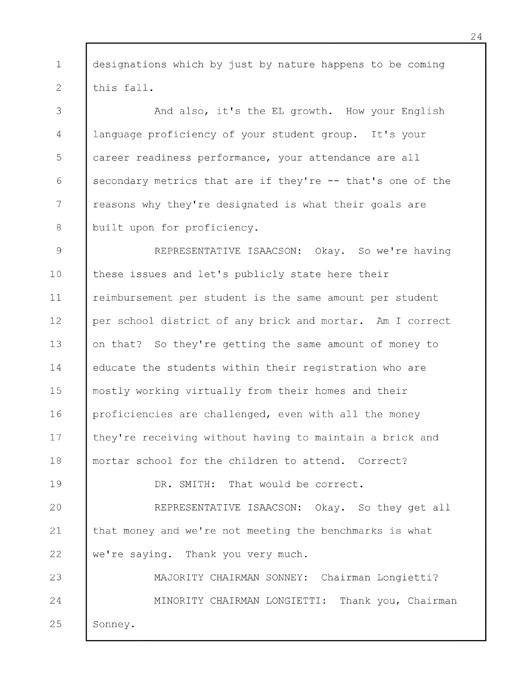1 2 designations which by just by nature happens to be coming this fall.

3 4 5 6 7 8 And also, it's the EL growth. How your English language proficiency of your student group. It's your career readiness performance, your attendance are all secondary metrics that are if they're -- that's one of the reasons why they're designated is what their goals are built upon for proficiency.

9 10 11 12 13 14 15 16 17 18 REPRESENTATIVE ISAACSON: Okay. So we're having these issues and let's publicly state here their reimbursement per student is the same amount per student per school district of any brick and mortar. Am I correct on that? So they're getting the same amount of money to educate the students within their registration who are mostly working virtually from their homes and their proficiencies are challenged, even with all the money they're receiving without having to maintain a brick and mortar school for the children to attend. Correct?

DR. SMITH: That would be correct.

19

20 21 22 REPRESENTATIVE ISAACSON: Okay. So they get all that money and we're not meeting the benchmarks is what we're saying. Thank you very much.

23 24 25 MAJORITY CHAIRMAN SONNEY: Chairman Longietti? MINORITY CHAIRMAN LONGIETTI: Thank you, Chairman Sonney.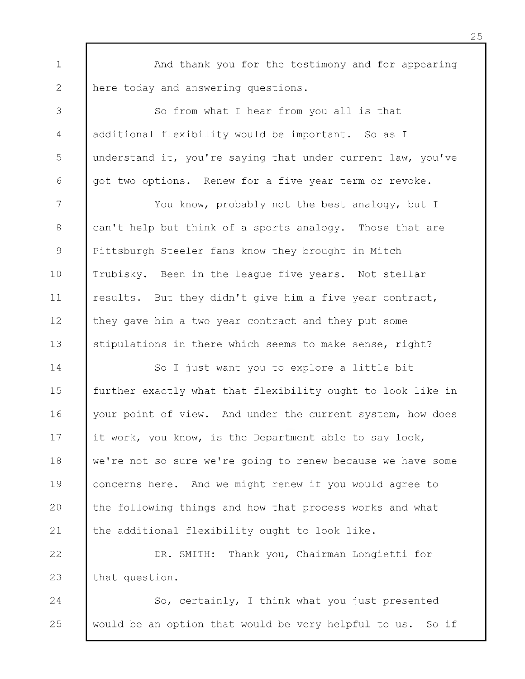1 2 And thank you for the testimony and for appearing here today and answering questions.

3 4 5 6 So from what I hear from you all is that additional flexibility would be important. So as I understand it, you're saying that under current law, you've got two options. Renew for a five year term or revoke.

7 8 9 10 11 12 13 You know, probably not the best analogy, but I can't help but think of a sports analogy. Those that are Pittsburgh Steeler fans know they brought in Mitch Trubisky. Been in the league five years. Not stellar results. But they didn't give him a five year contract, they gave him a two year contract and they put some stipulations in there which seems to make sense, right?

14 15 16 17 18 19 20 21 So I just want you to explore a little bit further exactly what that flexibility ought to look like in your point of view. And under the current system, how does it work, you know, is the Department able to say look, we're not so sure we're going to renew because we have some concerns here. And we might renew if you would agree to the following things and how that process works and what the additional flexibility ought to look like.

22 23 DR. SMITH: Thank you, Chairman Longietti for that question.

24 25 So, certainly, I think what you just presented would be an option that would be very helpful to us. So if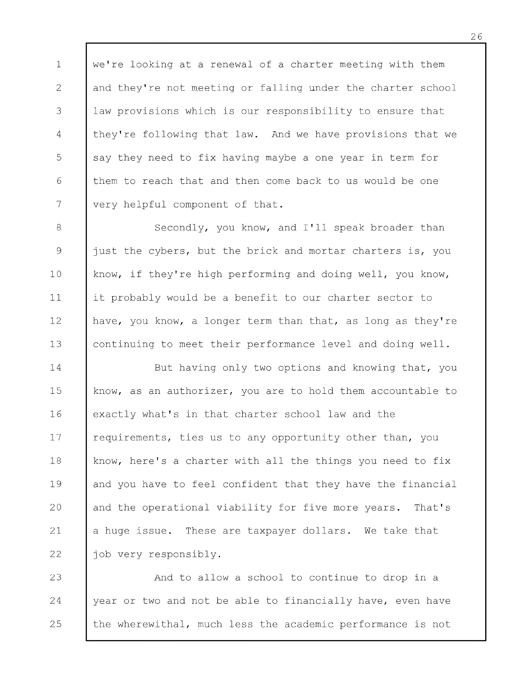1 2 3 4 5 6 7 we're looking at a renewal of a charter meeting with them and they're not meeting or falling under the charter school law provisions which is our responsibility to ensure that they're following that law. And we have provisions that we say they need to fix having maybe a one year in term for them to reach that and then come back to us would be one very helpful component of that.

8 9 10 11 12 13 Secondly, you know, and I'll speak broader than just the cybers, but the brick and mortar charters is, you know, if they're high performing and doing well, you know, it probably would be a benefit to our charter sector to have, you know, a longer term than that, as long as they're continuing to meet their performance level and doing well.

14 15 16 17 18 19 20 21 22 But having only two options and knowing that, you know, as an authorizer, you are to hold them accountable to exactly what's in that charter school law and the requirements, ties us to any opportunity other than, you know, here's a charter with all the things you need to fix and you have to feel confident that they have the financial and the operational viability for five more years. That's a huge issue. These are taxpayer dollars. We take that job very responsibly.

23 24 25 And to allow a school to continue to drop in a year or two and not be able to financially have, even have the wherewithal, much less the academic performance is not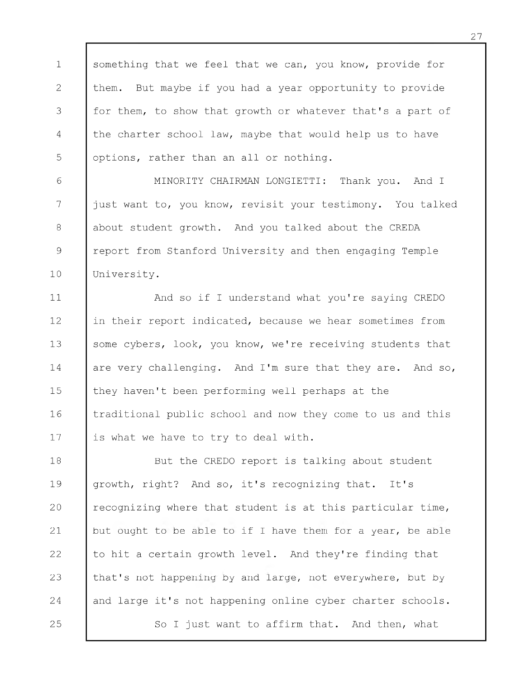1 2 3 4 5 something that we feel that we can, you know, provide for them. But maybe if you had a year opportunity to provide for them, to show that growth or whatever that's a part of the charter school law, maybe that would help us to have options, rather than an all or nothing.

6 7 8 9 10 MINORITY CHAIRMAN LONGIETTI: Thank you. And I just want to, you know, revisit your testimony. You talked about student growth. And you talked about the CREDA report from Stanford University and then engaging Temple University.

11 12 13 14 15 16 17 And so if I understand what you're saying CREDO in their report indicated, because we hear sometimes from some cybers, look, you know, we're receiving students that are very challenging. And I'm sure that they are. And so, they haven't been performing well perhaps at the traditional public school and now they come to us and this is what we have to try to deal with.

18 19 20 21 22 23 24 25 But the CREDO report is talking about student growth, right? And so, it's recognizing that. It's recognizing where that student is at this particular time, but ought to be able to if I have them for a year, be able to hit a certain growth level. And they're finding that that's not happening by and large, not everywhere, but by and large it's not happening online cyber charter schools. So I just want to affirm that. And then, what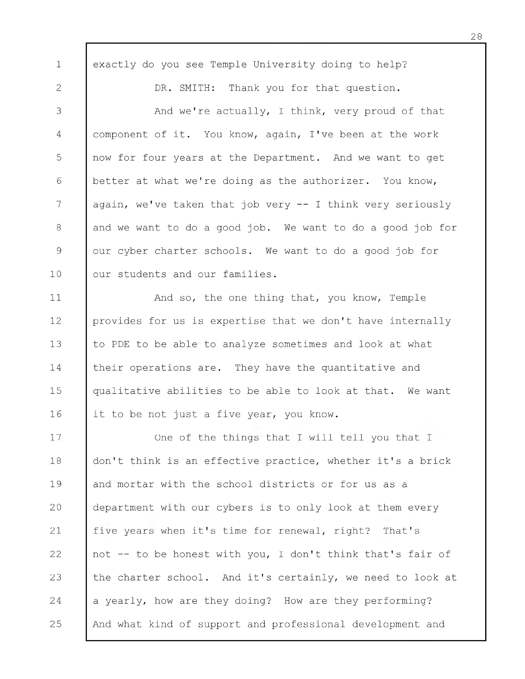1 2 3 4 5 6 7 8 9 10 11 12 13 14 15 16 17 18 19 20 21 22 23 24 25 exactly do you see Temple University doing to help? DR. SMITH: Thank you for that question. And we're actually, I think, very proud of that component of it. You know, again, I 've been at the work now for four years at the Department. And we want to get better at what we're doing as the authorizer. You know, again, we've taken that job very  $-$  I think very seriously and we want to do a good job. We want to do a good job for our cyber charter schools. We want to do a good job for our students and our families. And so, the one thing that, you know, Temple provides for us is expertise that we don't have internally to PDE to be able to analyze sometimes and look at what their operations are. They have the quantitative and qualitative abilities to be able to look at that. We want it to be not just a five year, you know. One of the things that I will tell you that I don't think is an effective practice, whether it's a brick and mortar with the school districts or for us as a department with our cybers is to only look at them every five years when it's time for renewal, right? That's not -- to be honest with you, I don't think that's fair of the charter school. And it's certainly, we need to look at a yearly, how are they doing? How are they performing? And what kind of support and professional development and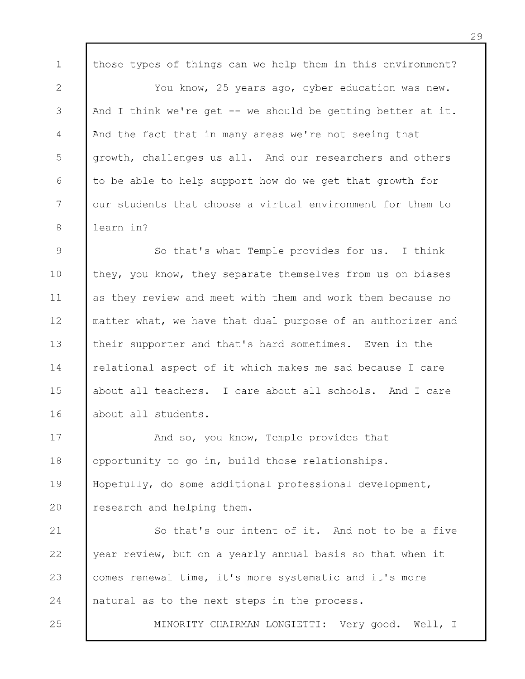1 2 3 4 5 6 7 8 those types of things can we help them in this environment? You know, 25 years ago, cyber education was new. And I think we're get  $-$  we should be getting better at it. And the fact that in many areas we're not seeing that growth, challenges us all. And our researchers and others to be able to help support how do we get that growth for our students that choose a virtual environment for them to learn in?

9 10 11 12 13 14 15 16 So that's what Temple provides for us. I think they, you know, they separate themselves from us on biases as they review and meet with them and work them because no matter what, we have that dual purpose of an authorizer and their supporter and that's hard sometimes. Even in the relational aspect of it which makes me sad because I care about all teachers. I care about all schools. And I care about all students.

17 18 19 20 And so, you know, Temple provides that opportunity to go in, build those relationships. Hopefully, do some additional professional development, research and helping them.

21 22 23 24 So that's our intent of it. And not to be a five year review, but on a yearly annual basis so that when it comes renewal time, it's more systematic and it's more natural as to the next steps in the process.

25

MINORITY CHAIRMAN LONGIETTI: Very good. Well, I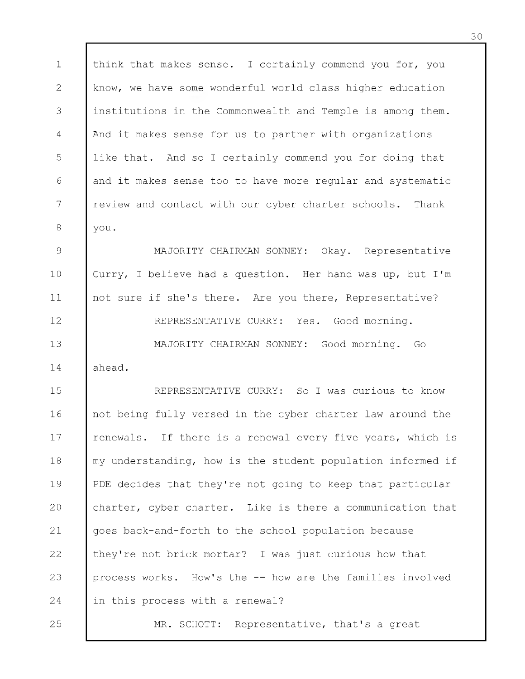1 2 3 4 5 6 7 8 9 think that makes sense. I certainly commend you for, you know, we have some wonderful world class higher education institutions in the Commonwealth and Temple is among them. And it makes sense for us to partner with organizations like that. And so I certainly commend you for doing that and it makes sense too to have more regular and systematic review and contact with our cyber charter schools. Thank you. MAJORITY CHAIRMAN SONNEY: Okay. Representative

10 11 12 13 14 Curry, I believe had a question. Her hand was up, but I 'm not sure if she's there. Are you there, Representative? REPRESENTATIVE CURRY: Yes. Good morning. MAJORITY CHAIRMAN SONNEY: Good morning. Go ahead.

15 16 17 18 19 20 21 22 23 24 REPRESENTATIVE CURRY: So I was curious to know not being fully versed in the cyber charter law around the renewals. If there is a renewal every five years, which is my understanding, how is the student population informed if PDE decides that they're not going to keep that particular charter, cyber charter. Like is there a communication that goes back-and-forth to the school population because they're not brick mortar? I was just curious how that process works. How's the -- how are the families involved in this process with a renewal?

25

MR. SCHOTT: Representative, that's a great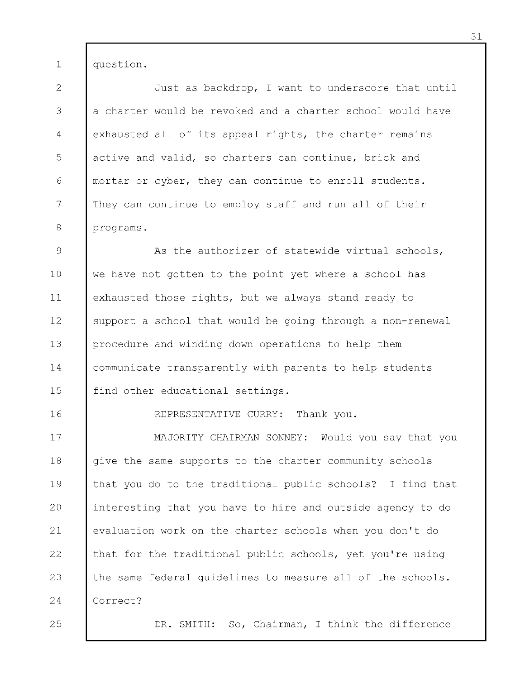1 question.

2 3 4 5 6 7 8 Just as backdrop, I want to underscore that until a charter would be revoked and a charter school would have exhausted all of its appeal rights, the charter remains active and valid, so charters can continue, brick and mortar or cyber, they can continue to enroll students. They can continue to employ staff and run all of their programs.

9 10 11 12 13 14 15 As the authorizer of statewide virtual schools, we have not gotten to the point yet where a school has exhausted those rights, but we always stand ready to support a school that would be going through a non-renewal procedure and winding down operations to help them communicate transparently with parents to help students find other educational settings.

REPRESENTATIVE CURRY: Thank you.

17 18 19 20 21 22 23 24 MAJORITY CHAIRMAN SONNEY: Would you say that you give the same supports to the charter community schools that you do to the traditional public schools? I find that interesting that you have to hire and outside agency to do evaluation work on the charter schools when you don't do that for the traditional public schools, yet you're using the same federal guidelines to measure all of the schools. Correct?

25

16

DR. SMITH: So, Chairman, I think the difference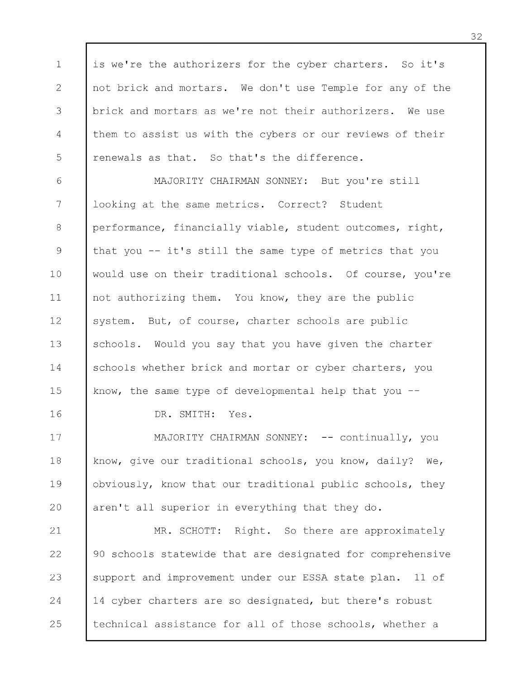1 2 3 4 5 is we're the authorizers for the cyber charters. So it's not brick and mortars. We don't use Temple for any of the brick and mortars as we're not their authorizers. We use them to assist us with the cybers or our reviews of their renewals as that. So that's the difference.

6 7 8 9 10 11 12 13 14 15 MAJORITY CHAIRMAN SONNEY: But you're still looking at the same metrics. Correct? Student performance, financially viable, student outcomes, right, that you -- it's still the same type of metrics that you would use on their traditional schools. Of course, you're not authorizing them. You know, they are the public system. But, of course, charter schools are public schools. Would you say that you have given the charter schools whether brick and mortar or cyber charters, you know, the same type of developmental help that you -

DR. SMITH: Yes.

16

17 18 19 20 MAJORITY CHAIRMAN SONNEY: -- continually, you know, give our traditional schools, you know, daily? We, obviously, know that our traditional public schools, they aren't all superior in everything that they do.

21 22 23 24 25 MR. SCHOTT: Right. So there are approximately 90 schools statewide that are designated for comprehensive support and improvement under our ESSA state plan. 11 of 14 cyber charters are so designated, but there's robust technical assistance for all of those schools, whether a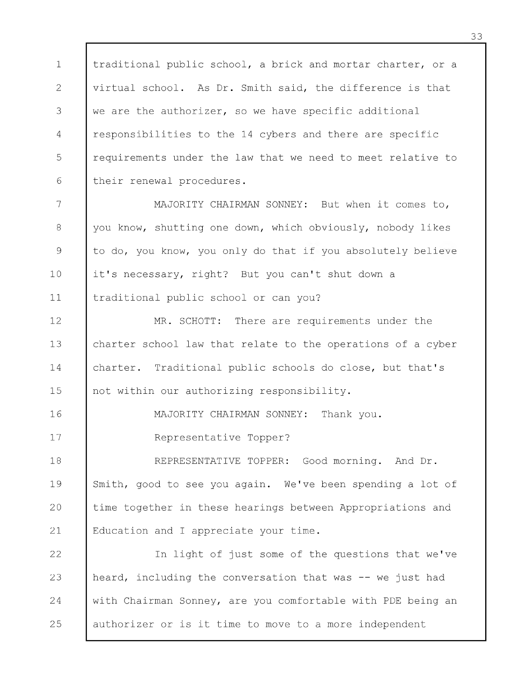1 2 3 4 5 6 traditional public school, a brick and mortar charter, or a virtual school. As Dr. Smith said, the difference is that we are the authorizer, so we have specific additional responsibilities to the 14 cybers and there are specific requirements under the law that we need to meet relative to their renewal procedures.

7 8 9 10 11 MAJORITY CHAIRMAN SONNEY: But when it comes to, you know, shutting one down, which obviously, nobody likes to do, you know, you only do that if you absolutely believe it's necessary, right? But you can't shut down a traditional public school or can you?

12 13 14 15 MR. SCHOTT: There are requirements under the charter school law that relate to the operations of a cyber charter. Traditional public schools do close, but that's not within our authorizing responsibility.

MAJORITY CHAIRMAN SONNEY: Thank you.

Representative Topper?

16

17

18 19 20 21 REPRESENTATIVE TOPPER: Good morning. And Dr. Smith, good to see you again. We've been spending a lot of time together in these hearings between Appropriations and Education and I appreciate your time.

22 23 24 25 In light of just some of the questions that we've heard, including the conversation that was -- we just had with Chairman Sonney, are you comfortable with PDE being an authorizer or is it time to move to a more independent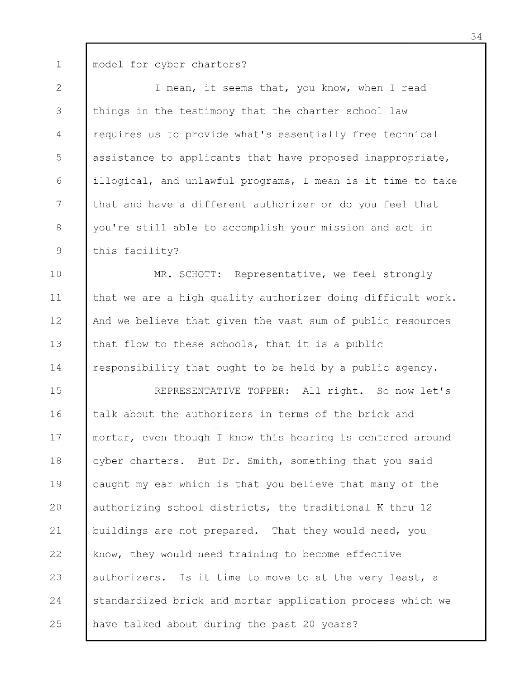1 model for cyber charters?

2 3 4 5 6 7 8 9 I mean, it seems that, you know, when I read things in the testimony that the charter school law requires us to provide what's essentially free technical assistance to applicants that have proposed inappropriate, illogical, and unlawful programs, I mean is it time to take that and have a different authorizer or do you feel that you're still able to accomplish your mission and act in this facility?

10 11 12 13 14 MR. SCHOTT: Representative, we feel strongly that we are a high quality authorizer doing difficult work. And we believe that given the vast sum of public resources that flow to these schools, that it is a public responsibility that ought to be held by a public agency.

15 16 17 18 19 20 21 22 23 24 25 REPRESENTATIVE TOPPER: All right. So now let's talk about the authorizers in terms of the brick and mortar, even though I know this hearing is centered around cyber charters. But Dr. Smith, something that you said caught my ear which is that you believe that many of the authorizing school districts, the traditional K thru 12 buildings are not prepared. That they would need, you know, they would need training to become effective authorizers. Is it time to move to at the very least, a standardized brick and mortar application process which we have talked about during the past 20 years?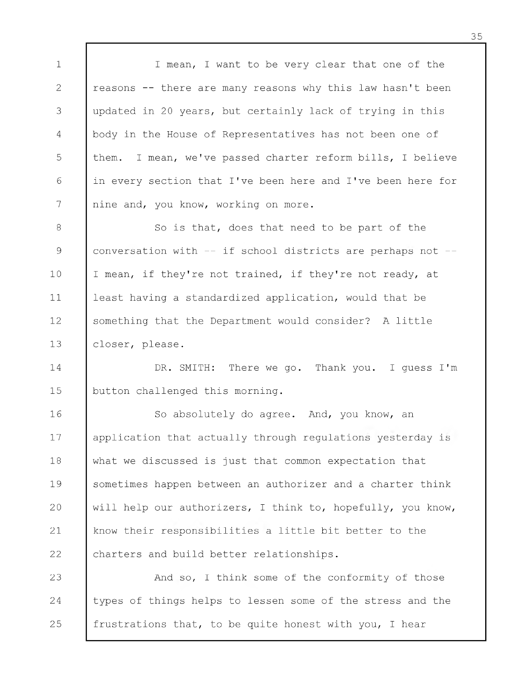1 2 3 4 5 6 7 I mean, I want to be very clear that one of the reasons -- there are many reasons why this law hasn't been updated in 20 years, but certainly lack of trying in this body in the House of Representatives has not been one of them. I mean, we've passed charter reform bills, I believe in every section that I've been here and I've been here for nine and, you know, working on more.

8 9 10 11 12 13 So is that, does that need to be part of the conversation with  $--$  if school districts are perhaps not  $--$ I mean, if they're not trained, if they're not ready, at least having a standardized application, would that be something that the Department would consider? A little closer, please.

14 15 DR. SMITH: There we go. Thank you. I quess I'm button challenged this morning.

16 17 18 19 20 21 22 So absolutely do agree. And, you know, an application that actually through regulations yesterday is what we discussed is just that common expectation that sometimes happen between an authorizer and a charter think will help our authorizers, I think to, hopefully, you know, know their responsibilities a little bit better to the charters and build better relationships.

23 24 25 And so, I think some of the conformity of those types of things helps to lessen some of the stress and the frustrations that, to be quite honest with you, I hear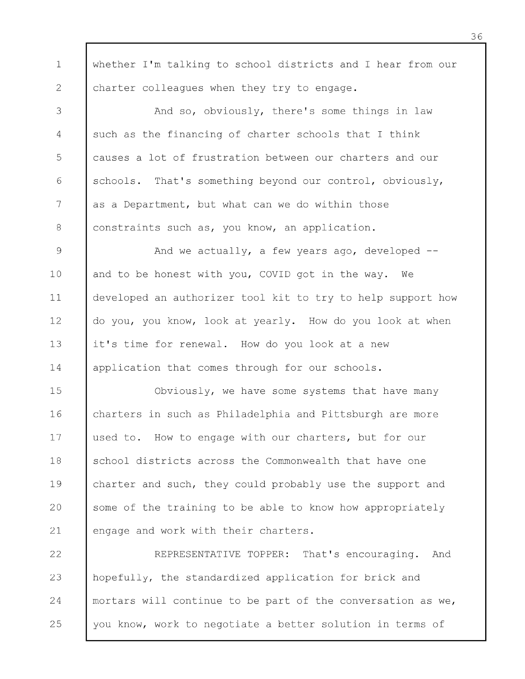1 2 whether I'm talking to school districts and I hear from our charter colleagues when they try to engage.

3 4 5 6 7 8 And so, obviously, there's some things in law such as the financing of charter schools that I think causes a lot of frustration between our charters and our schools. That's something beyond our control, obviously, as a Department, but what can we do within those constraints such as, you know, an application.

9 10 11 12 13 14 And we actually, a few years ago, developed -and to be honest with you, COVID got in the way. We developed an authorizer tool kit to try to help support how do you, you know, look at yearly. How do you look at when it's time for renewal. How do you look at a new application that comes through for our schools.

15 16 17 18 19 20 21 Obviously, we have some systems that have many charters in such as Philadelphia and Pittsburgh are more used to. How to engage with our charters, but for our school districts across the Commonwealth that have one charter and such, they could probably use the support and some of the training to be able to know how appropriately engage and work with their charters.

22 23 24 25 REPRESENTATIVE TOPPER: That's encouraging. And hopefully, the standardized application for brick and mortars will continue to be part of the conversation as we, you know, work to negotiate a better solution in terms of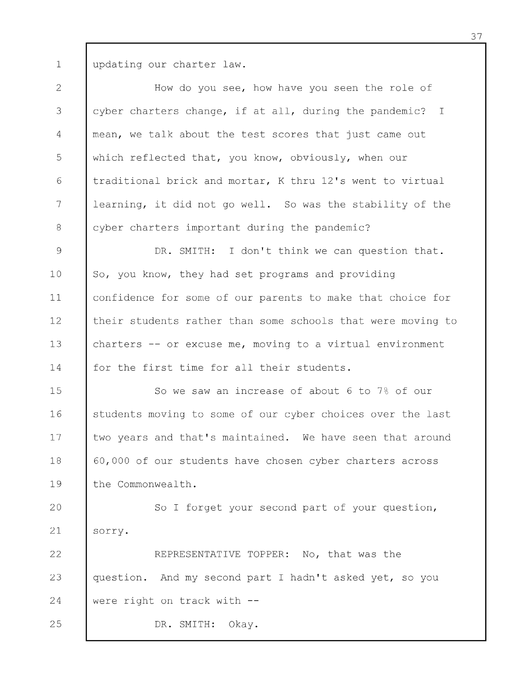1 updating our charter law.

2 3 4 5 6 7 8 How do you see, how have you seen the role of cyber charters change, if at all, during the pandemic? I mean, we talk about the test scores that just came out which reflected that, you know, obviously, when our traditional brick and mortar, K thru 12's went to virtual learning, it did not go well. So was the stability of the cyber charters important during the pandemic?

9 10 11 12 13 14 DR. SMITH: I don't think we can question that. So, you know, they had set programs and providing confidence for some of our parents to make that choice for their students rather than some schools that were moving to charters -- or excuse me, moving to a virtual environment for the first time for all their students.

15 16 17 18 19 So we saw an increase of about 6 to 7% of our students moving to some of our cyber choices over the last two years and that's maintained. We have seen that around 60,000 of our students have chosen cyber charters across the Commonwealth.

20 21 So I forget your second part of your question, sorry.

22 23 24 REPRESENTATIVE TOPPER: No, that was the question. And my second part I hadn't asked yet, so you were right on track with -

DR. SMITH: Okay.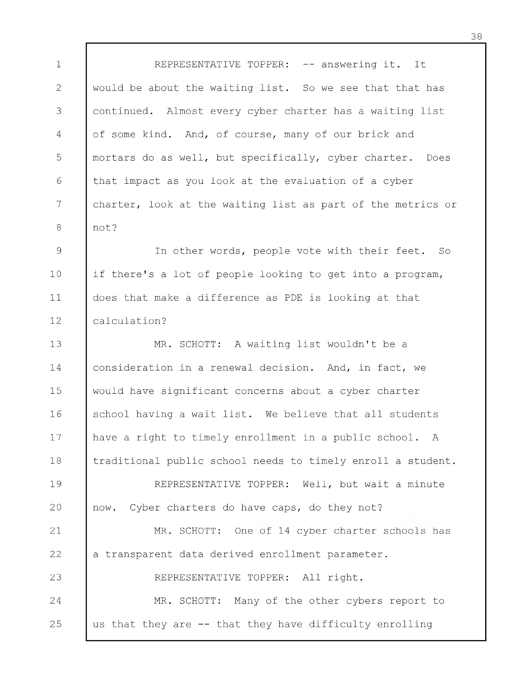1 2 3 4 5 6 7 8 REPRESENTATIVE TOPPER: -- answering it. It would be about the waiting list. So we see that that has continued. Almost every cyber charter has a waiting list of some kind. And, of course, many of our brick and mortars do as well, but specifically, cyber charter. Does that impact as you look at the evaluation of a cyber charter, look at the waiting list as part of the metrics or not?

9 10 11 12 In other words, people vote with their feet. So if there's a lot of people looking to get into a program, does that make a difference as PDE is looking at that calculation?

13 14 15 16 17 18 19 20 21 22 23 24 25 MR. SCHOTT: A waiting list wouldn't be a consideration in a renewal decision. And, in fact, we would have significant concerns about a cyber charter school having a wait list. We believe that all students have a right to timely enrollment in a public school. A traditional public school needs to timely enroll a student. REPRESENTATIVE TOPPER: Well, but wait a minute now. Cyber charters do have caps, do they not? MR. SCHOTT: One of 14 cyber charter schools has a transparent data derived enrollment parameter. REPRESENTATIVE TOPPER: All right. MR. SCHOTT: Many of the other cybers report to us that they are -- that they have difficulty enrolling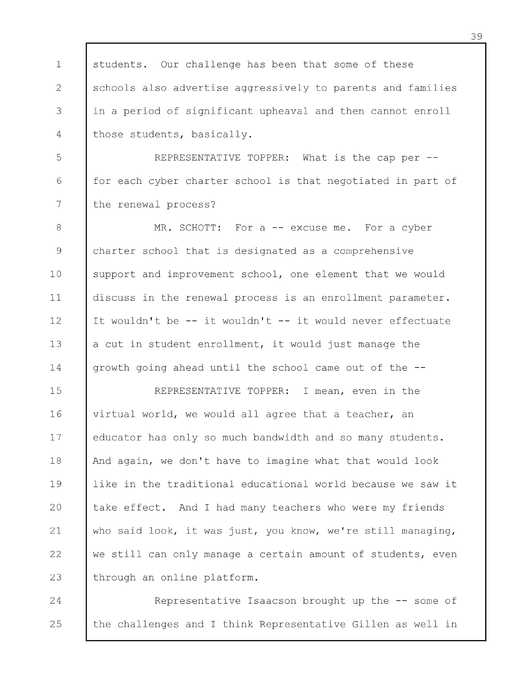1 2 3 4 students. Our challenge has been that some of these schools also advertise aggressively to parents and families in a period of significant upheaval and then cannot enroll those students, basically.

5 6 7 REPRESENTATIVE TOPPER: What is the cap per -for each cyber charter school is that negotiated in part of the renewal process?

8 9 10 11 12 13 14 MR. SCHOTT: For a -- excuse me. For a cyber charter school that is designated as a comprehensive support and improvement school, one element that we would discuss in the renewal process is an enrollment parameter. It wouldn't be -- it wouldn't -- it would never effectuate a cut in student enrollment, it would just manage the growth going ahead until the school came out of the -

15 16 17 18 19 20 21 22 23 REPRESENTATIVE TOPPER: I mean, even in the virtual world, we would all agree that a teacher, an educator has only so much bandwidth and so many students. And again, we don't have to imagine what that would look like in the traditional educational world because we saw it take effect. And I had many teachers who were my friends who said look, it was just, you know, we're still managing, we still can only manage a certain amount of students, even through an online platform.

24 25 Representative Isaacson brought up the -- some of the challenges and I think Representative Gillen as well in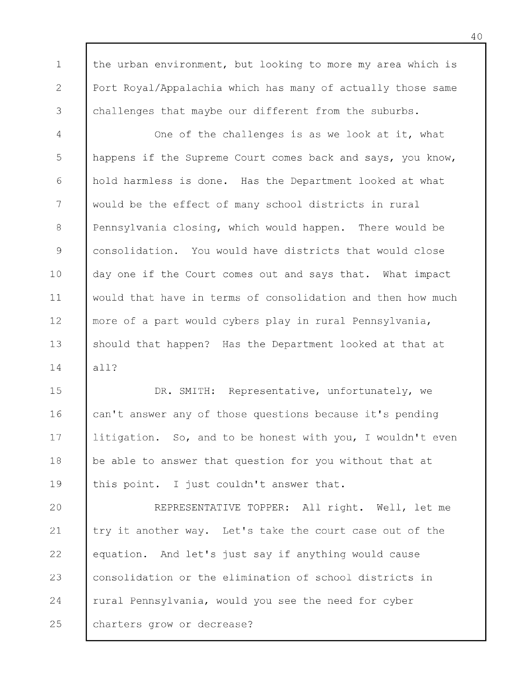the urban environment, but looking to more my area which is Port Royal/Appalachia which has many of actually those same challenges that maybe our different from the suburbs.

1

2

3

4 5 6 7 8 9 10 11 12 13 14 One of the challenges is as we look at it, what happens if the Supreme Court comes back and says, you know, hold harmless is done. Has the Department looked at what would be the effect of many school districts in rural Pennsylvania closing, which would happen. There would be consolidation. You would have districts that would close day one if the Court comes out and says that. What impact would that have in terms of consolidation and then how much more of a part would cybers play in rural Pennsylvania, should that happen? Has the Department looked at that at all?

15 16 17 18 19 DR. SMITH: Representative, unfortunately, we can't answer any of those questions because it's pending litigation. So, and to be honest with you, I wouldn't even be able to answer that question for you without that at this point. I just couldn't answer that.

20 21 22 23 24 25 REPRESENTATIVE TOPPER: All right. Well, let me try it another way. Let's take the court case out of the equation. And let's just say if anything would cause consolidation or the elimination of school districts in rural Pennsylvania, would you see the need for cyber charters grow or decrease?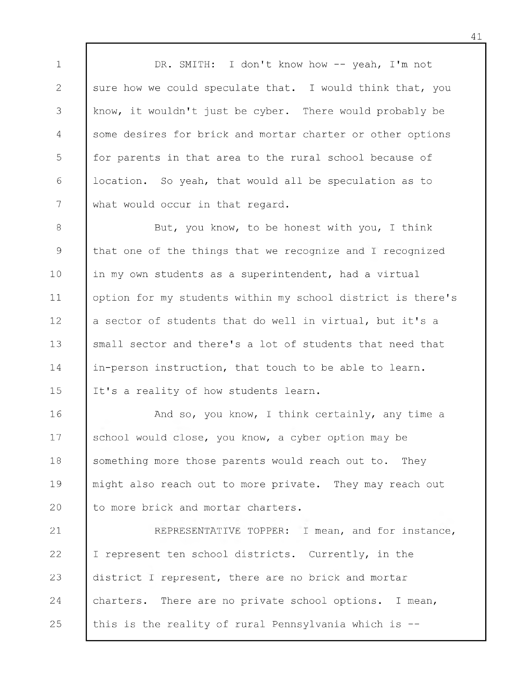1 2 3 4 5 6 7 DR. SMITH: I don't know how -- yeah, I'm not sure how we could speculate that. I would think that, you know, it wouldn't just be cyber. There would probably be some desires for brick and mortar charter or other options for parents in that area to the rural school because of location. So yeah, that would all be speculation as to what would occur in that regard.

8 9 10 11 12 13 14 15 But, you know, to be honest with you, I think that one of the things that we recognize and I recognized in my own students as a superintendent, had a virtual option for my students within my school district is there's a sector of students that do well in virtual, but it's a small sector and there's a lot of students that need that in-person instruction, that touch to be able to learn. It's a reality of how students learn.

16 17 18 19 20 And so, you know, I think certainly, any time a school would close, you know, a cyber option may be something more those parents would reach out to. They might also reach out to more private. They may reach out to more brick and mortar charters.

21 22 23 24 25 REPRESENTATIVE TOPPER: I mean, and for instance, I represent ten school districts. Currently, in the district I represent, there are no brick and mortar charters. There are no private school options. I mean, this is the reality of rural Pennsylvania which is --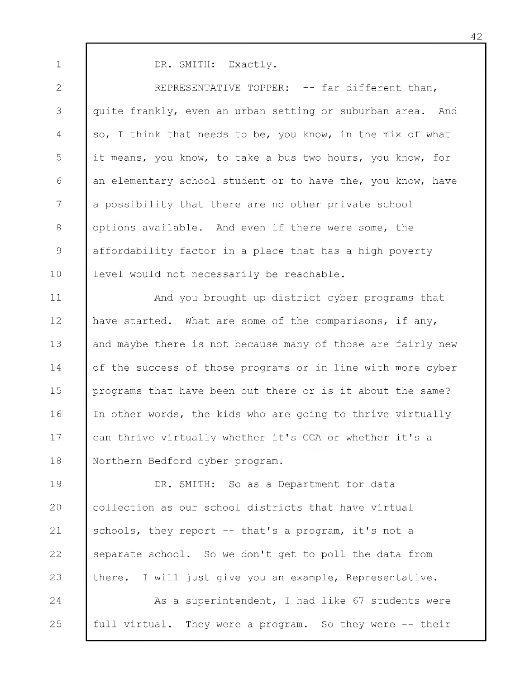DR. SMITH: Exactly.

1

2 3 4 5 6 7 8 9 10 REPRESENTATIVE TOPPER: -- far different than, quite frankly, even an urban setting or suburban area. And so, I think that needs to be, you know, in the mix of what it means, you know, to take a bus two hours, you know, for an elementary school student or to have the, you know, have a possibility that there are no other private school options available. And even if there were some, the affordability factor in a place that has a high poverty level would not necessarily be reachable.

11 12 13 14 15 16 17 18 And you brought up district cyber programs that have started. What are some of the comparisons, if any, and maybe there is not because many of those are fairly new of the success of those programs or in line with more cyber programs that have been out there or is it about the same? In other words, the kids who are going to thrive virtually can thrive virtually whether it's CCA or whether it's a Northern Bedford cyber program.

19 20 21 22 23 DR. SMITH: So as a Department for data collection as our school districts that have virtual schools, they report -- that's a program, it's not a separate school. So we don't get to poll the data from there. I will just give you an example, Representative.

24 25 As a superintendent, I had like 67 students were full virtual. They were a program. So they were -- their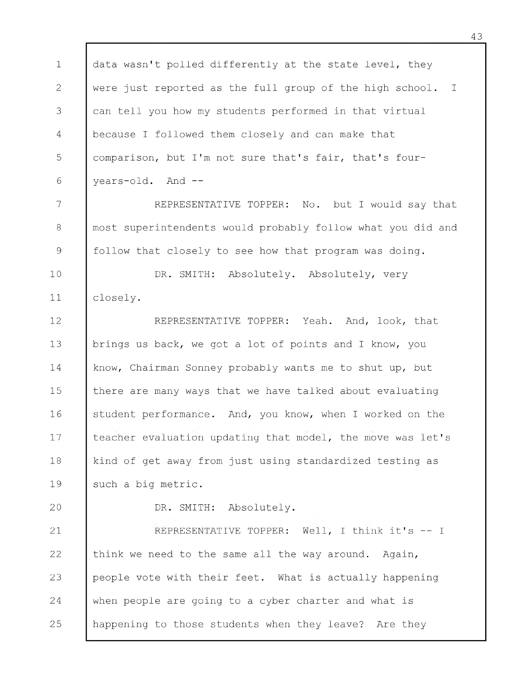1 2 3 4 5 6 7 8 9 10 11 12 13 14 15 16 17 18 19 20 21 22 23 24 25 data wasn't polled differently at the state level, they were just reported as the full group of the high school. I can tell you how my students performed in that virtual because I followed them closely and can make that comparison, but I'm not sure that's fair, that's fouryears-old. And - REPRESENTATIVE TOPPER: No. but I would say that most superintendents would probably follow what you did and follow that closely to see how that program was doing. DR. SMITH: Absolutely. Absolutely, very closely. REPRESENTATIVE TOPPER: Yeah. And, look, that brings us back, we got a lot of points and I know, you know, Chairman Sonney probably wants me to shut up, but there are many ways that we have talked about evaluating student performance. And, you know, when I worked on the teacher evaluation updating that model, the move was let's kind of get away from just using standardized testing as such a big metric. DR. SMITH: Absolutely. REPRESENTATIVE TOPPER: Well, I think it's -- I think we need to the same all the way around. Again, people vote with their feet. What is actually happening when people are going to a cyber charter and what is happening to those students when they leave? Are they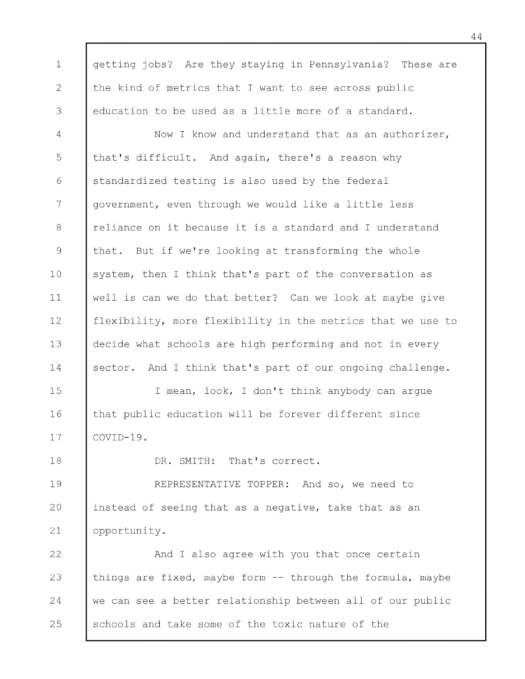1 2 3 4 5 6 7 8 9 10 11 12 13 14 15 16 17 18 19 20 21 22 23 24 25 getting jobs? Are they staying in Pennsylvania? These are the kind of metrics that I want to see across public education to be used as a little more of a standard. Now I know and understand that as an authorizer, that's difficult. And again, there's a reason why standardized testing is also used by the federal government, even through we would like a little less reliance on it because it is a standard and I understand that. But if we're looking at transforming the whole system, then I think that's part of the conversation as well is can we do that better? Can we look at maybe give flexibility, more flexibility in the metrics that we use to decide what schools are high performing and not in every sector. And I think that's part of our ongoing challenge. I mean, look, I don't think anybody can argue that public education will be forever different since COVID-19. DR. SMITH: That's correct. REPRESENTATIVE TOPPER: And so, we need to instead of seeing that as a negative, take that as an opportunity. And I also agree with you that once certain things are fixed, maybe form -- through the formula, maybe we can see a better relationship between all of our public schools and take some of the toxic nature of the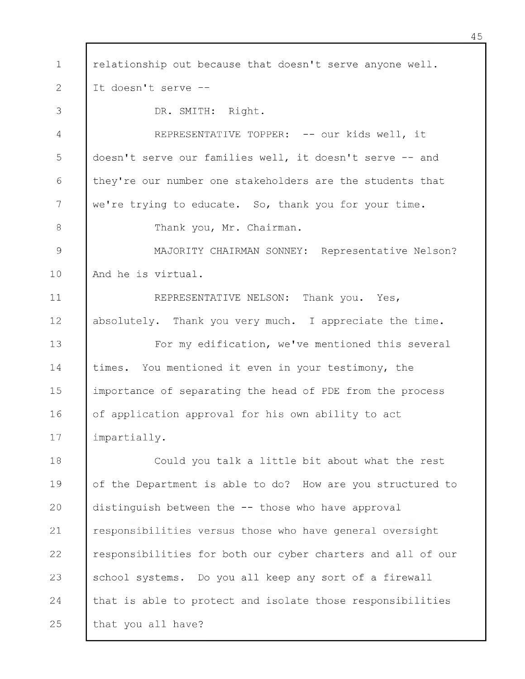1 2 3 4 5 6 7 8 9 10 11 12 13 14 15 16 17 18 19 20 21 22 23 24 relationship out because that doesn't serve anyone well. It doesn't serve --DR. SMITH: Right. REPRESENTATIVE TOPPER: -- our kids well, it doesn't serve our families well, it doesn't serve -- and they're our number one stakeholders are the students that we're trying to educate. So, thank you for your time. Thank you, Mr. Chairman. MAJORITY CHAIRMAN SONNEY: Representative Nelson? And he is virtual. REPRESENTATIVE NELSON: Thank you. Yes, absolutely. Thank you very much. I appreciate the time. For my edification, we've mentioned this several times. You mentioned it even in your testimony, the importance of separating the head of PDE from the process of application approval for his own ability to act impartially. Could you talk a little bit about what the rest of the Department is able to do? How are you structured to distinguish between the -- those who have approval responsibilities versus those who have general oversight responsibilities for both our cyber charters and all of our school systems. Do you all keep any sort of a firewall that is able to protect and isolate those responsibilities

25 that you all have?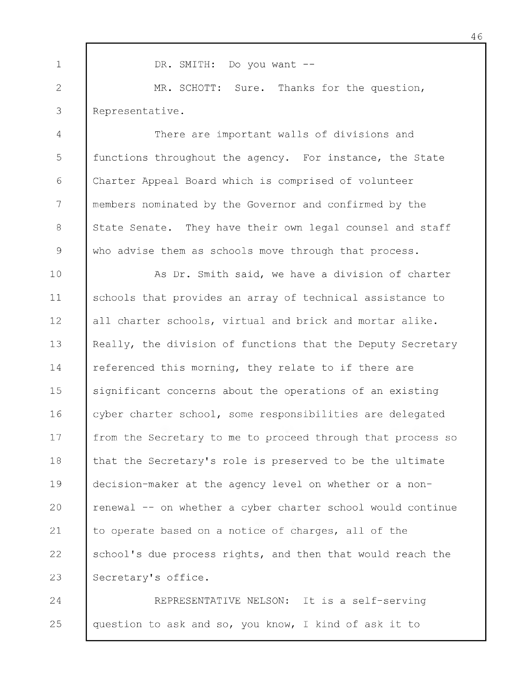1 2 3 4 5 6 7 8 9 10 11 12 13 14 15 16 17 18 19 20 21 22 23 DR. SMITH: Do you want --MR. SCHOTT: Sure. Thanks for the question, Representative. There are important walls of divisions and functions throughout the agency. For instance, the State Charter Appeal Board which is comprised of volunteer members nominated by the Governor and confirmed by the State Senate. They have their own legal counsel and staff who advise them as schools move through that process. As Dr. Smith said, we have a division of charter schools that provides an array of technical assistance to all charter schools, virtual and brick and mortar alike. Really, the division of functions that the Deputy Secretary referenced this morning, they relate to if there are significant concerns about the operations of an existing cyber charter school, some responsibilities are delegated from the Secretary to me to proceed through that process so that the Secretary's role is preserved to be the ultimate decision-maker at the agency level on whether or a nonrenewal -- on whether a cyber charter school would continue to operate based on a notice of charges, all of the school's due process rights, and then that would reach the Secretary's office.

24 25 REPRESENTATIVE NELSON: It is a self-serving question to ask and so, you know, I kind of ask it to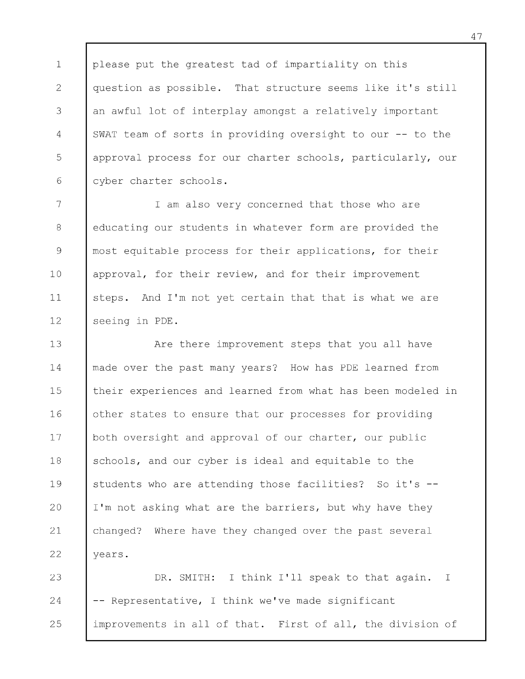1 2 3 4 5 6 please put the greatest tad of impartiality on this question as possible. That structure seems like it's still an awful lot of interplay amongst a relatively important SWAT team of sorts in providing oversight to our -- to the approval process for our charter schools, particularly, our cyber charter schools.

7 8 9 10 11 12 I am also very concerned that those who are educating our students in whatever form are provided the most equitable process for their applications, for their approval, for their review, and for their improvement steps. And I'm not yet certain that that is what we are seeing in PDE.

13 14 15 16 17 18 19 20 21 22 Are there improvement steps that you all have made over the past many years? How has PDE learned from their experiences and learned from what has been modeled in other states to ensure that our processes for providing both oversight and approval of our charter, our public schools, and our cyber is ideal and equitable to the students who are attending those facilities? So it's --I'm not asking what are the barriers, but why have they changed? Where have they changed over the past several years.

23 24 25 DR. SMITH: I think I'll speak to that again. I  $-$  Representative, I think we've made significant improvements in all of that. First of all, the division of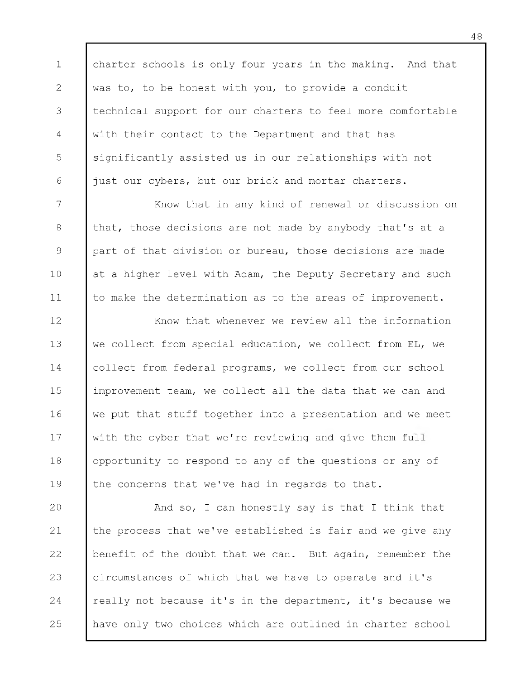1 2 3 4 5 6 charter schools is only four years in the making. And that was to, to be honest with you, to provide a conduit technical support for our charters to feel more comfortable with their contact to the Department and that has significantly assisted us in our relationships with not just our cybers, but our brick and mortar charters.

7 8 9 10 11 Know that in any kind of renewal or discussion on that, those decisions are not made by anybody that's at a part of that division or bureau, those decisions are made at a higher level with Adam, the Deputy Secretary and such to make the determination as to the areas of improvement.

12 13 14 15 16 17 18 19 Know that whenever we review all the information we collect from special education, we collect from EL, we collect from federal programs, we collect from our school improvement team, we collect all the data that we can and we put that stuff together into a presentation and we meet with the cyber that we're reviewing and give them full opportunity to respond to any of the questions or any of the concerns that we've had in regards to that.

20 21 22 23 24 25 And so, I can honestly say is that I think that the process that we've established is fair and we give any benefit of the doubt that we can. But again, remember the circumstances of which that we have to operate and it's really not because it's in the department, it's because we have only two choices which are outlined in charter school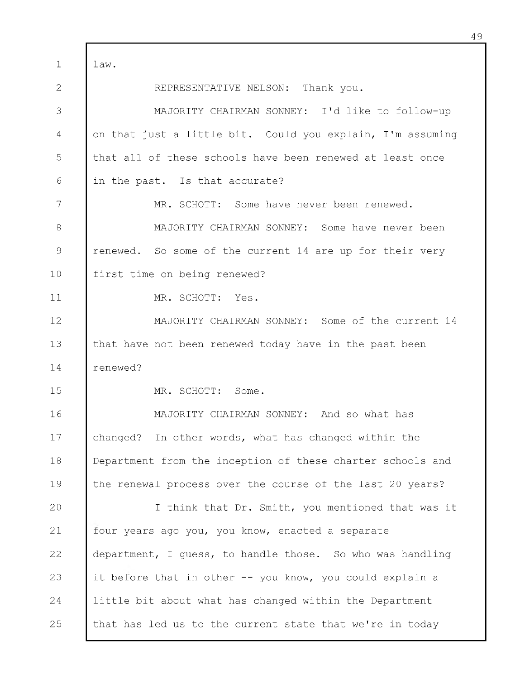1 2 3 4 5 6 7 8 9 10 11 12 13 14 15 16 17 18 19 20 21 22 23 24 25 law. REPRESENTATIVE NELSON: Thank you. MAJORITY CHAIRMAN SONNEY: I'd like to follow-up on that just a little bit. Could you explain, I'm assuming that all of these schools have been renewed at least once in the past. Is that accurate? MR. SCHOTT: Some have never been renewed. MAJORITY CHAIRMAN SONNEY: Some have never been renewed. So some of the current 14 are up for their very first time on being renewed? MR. SCHOTT: Yes. MAJORITY CHAIRMAN SONNEY: Some of the current 14 that have not been renewed today have in the past been renewed? MR. SCHOTT: Some. MAJORITY CHAIRMAN SONNEY: And so what has changed? In other words, what has changed within the Department from the inception of these charter schools and the renewal process over the course of the last 20 years? I think that Dr. Smith, you mentioned that was it four years ago you, you know, enacted a separate department, I guess, to handle those. So who was handling it before that in other -- you know, you could explain a little bit about what has changed within the Department that has led us to the current state that we're in today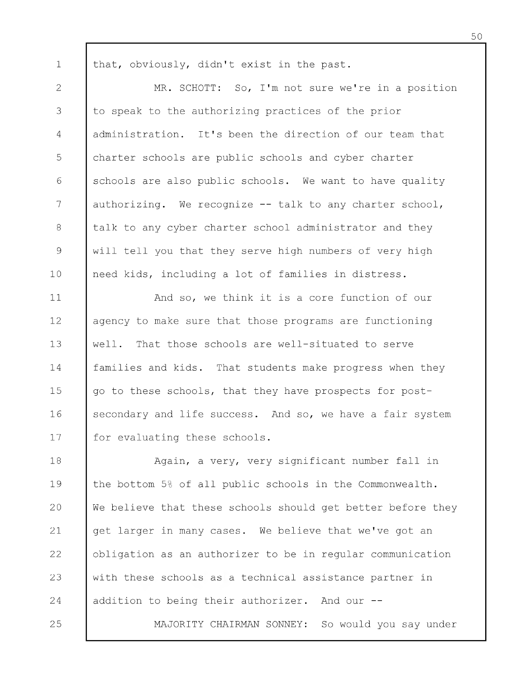that, obviously, didn't exist in the past.

1

25

2 3 4 5 6 7 8 9 10 MR. SCHOTT: So, I'm not sure we're in a position to speak to the authorizing practices of the prior administration. It's been the direction of our team that charter schools are public schools and cyber charter schools are also public schools. We want to have quality authorizing. We recognize -- talk to any charter school, talk to any cyber charter school administrator and they will tell you that they serve high numbers of very high need kids, including a lot of families in distress.

11 12 13 14 15 16 17 And so, we think it is a core function of our agency to make sure that those programs are functioning well. That those schools are well-situated to serve families and kids. That students make progress when they go to these schools, that they have prospects for postsecondary and life success. And so, we have a fair system for evaluating these schools.

18 19 20 21 22 23 24 Again, a very, very significant number fall in the bottom 5% of all public schools in the Commonwealth. We believe that these schools should get better before they get larger in many cases. We believe that we've got an obligation as an authorizer to be in regular communication with these schools as a technical assistance partner in addition to being their authorizer. And our --

MAJORITY CHAIRMAN SONNEY: So would you say under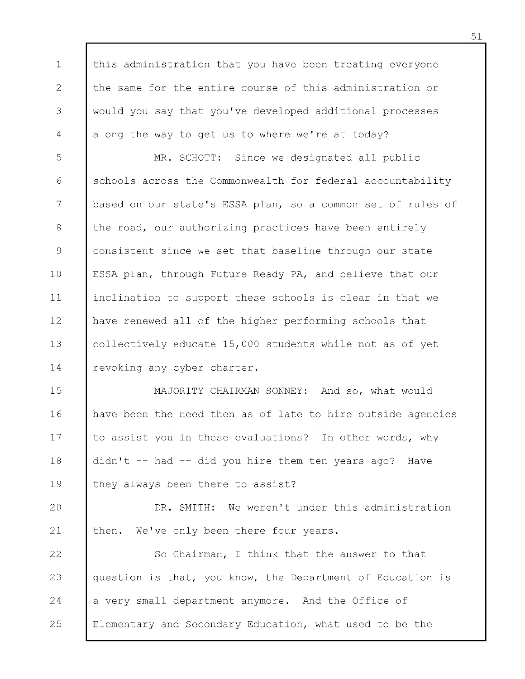1 2 3 4 this administration that you have been treating everyone the same for the entire course of this administration or would you say that you've developed additional processes along the way to get us to where we're at today?

5 6 7 8 9 10 11 12 13 14 MR. SCHOTT: Since we designated all public schools across the Commonwealth for federal accountability based on our state's ESSA plan, so a common set of rules of the road, our authorizing practices have been entirely consistent since we set that baseline through our state ESSA plan, through Future Ready PA, and believe that our inclination to support these schools is clear in that we have renewed all of the higher performing schools that collectively educate 15,000 students while not as of yet revoking any cyber charter.

15 16 17 18 19 MAJORITY CHAIRMAN SONNEY: And so, what would have been the need then as of late to hire outside agencies to assist you in these evaluations? In other words, why didn't -- had -- did you hire them ten years ago? Have they always been there to assist?

20 21 DR. SMITH: We weren't under this administration then. We've only been there four years.

22 23 24 25 So Chairman, I think that the answer to that question is that, you know, the Department of Education is a very small department anymore. And the Office of Elementary and Secondary Education, what used to be the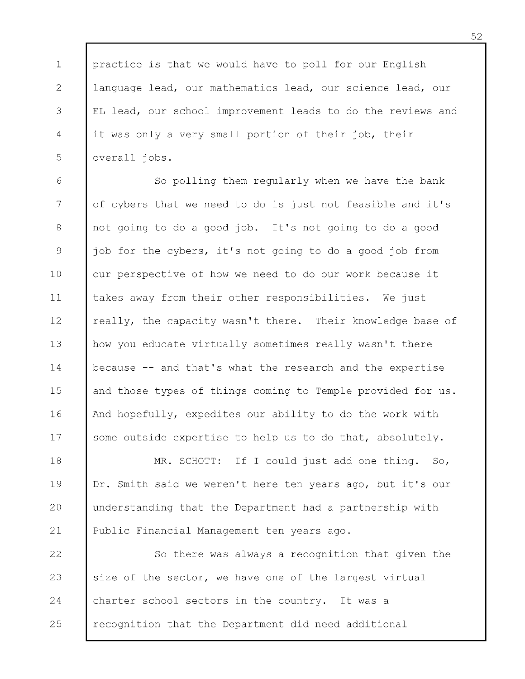1 2 3 4 5 practice is that we would have to poll for our English language lead, our mathematics lead, our science lead, our EL lead, our school improvement leads to do the reviews and it was only a very small portion of their job, their overall jobs.

6 7 8 9 10 11 12 13 14 15 16 17 So polling them regularly when we have the bank of cybers that we need to do is just not feasible and it's not going to do a good job. It's not going to do a good job for the cybers, it's not going to do a good job from our perspective of how we need to do our work because it takes away from their other responsibilities. We just really, the capacity wasn't there. Their knowledge base of how you educate virtually sometimes really wasn't there because -- and that's what the research and the expertise and those types of things coming to Temple provided for us. And hopefully, expedites our ability to do the work with some outside expertise to help us to do that, absolutely.

18 19 20 21 MR. SCHOTT: If I could just add one thing. So, Dr. Smith said we weren't here ten years ago, but it's our understanding that the Department had a partnership with Public Financial Management ten years ago.

22 23 24 25 So there was always a recognition that given the size of the sector, we have one of the largest virtual charter school sectors in the country. It was a recognition that the Department did need additional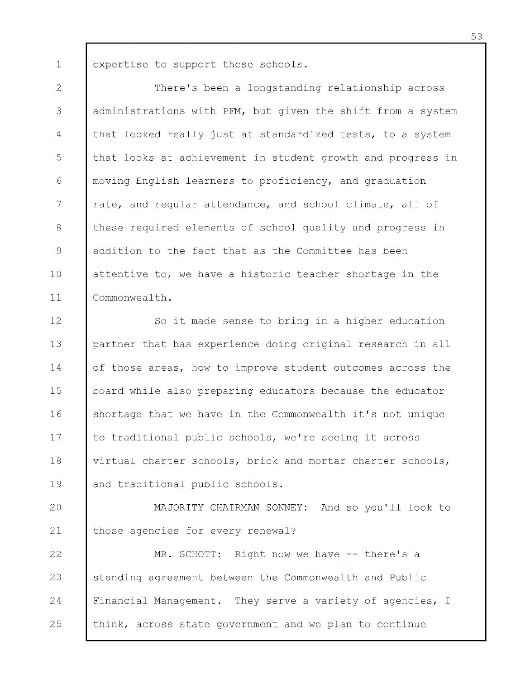1 expertise to support these schools.

2 3 4 5 6 7 8 9 10 11 There's been a longstanding relationship across administrations with PFM, but given the shift from a system that looked really just at standardized tests, to a system that looks at achievement in student growth and progress in moving English learners to proficiency, and graduation rate, and regular attendance, and school climate, all of these required elements of school quality and progress in addition to the fact that as the Committee has been attentive to, we have a historic teacher shortage in the Commonwealth.

12 13 14 15 16 17 18 19 So it made sense to bring in a higher education partner that has experience doing original research in all of those areas, how to improve student outcomes across the board while also preparing educators because the educator shortage that we have in the Commonwealth it's not unique to traditional public schools, we're seeing it across virtual charter schools, brick and mortar charter schools, and traditional public schools.

20 21 MAJORITY CHAIRMAN SONNEY: And so you'll look to those agencies for every renewal?

22 23 24 25 MR. SCHOTT: Right now we have -- there's a standing agreement between the Commonwealth and Public Financial Management. They serve a variety of agencies, I think, across state government and we plan to continue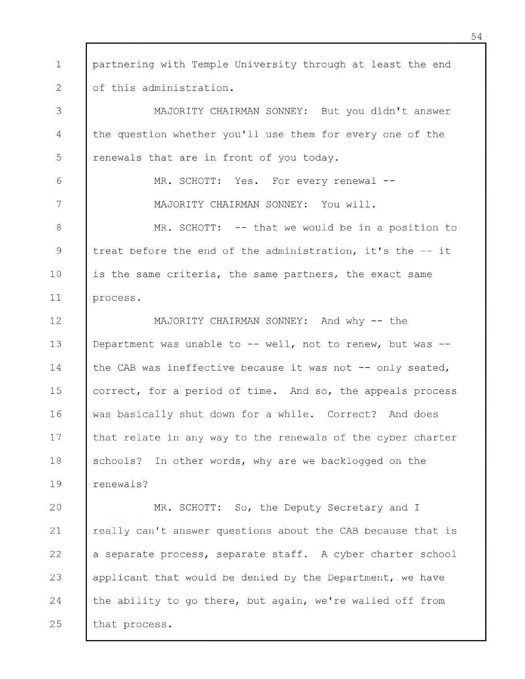1 2 partnering with Temple University through at least the end of this administration.

3 4 5 MAJORITY CHAIRMAN SONNEY: But you didn't answer the question whether you'll use them for every one of the renewals that are in front of you today.

6

7

MR. SCHOTT: Yes. For every renewal --MAJORITY CHAIRMAN SONNEY: You will.

8 9 10 11 MR. SCHOTT: -- that we would be in a position to treat before the end of the administration, it's the -- it is the same criteria, the same partners, the exact same process.

12 13 14 15 16 17 18 19 MAJORITY CHAIRMAN SONNEY: And why -- the Department was unable to  $--$  well, not to renew, but was  $-$ the CAB was ineffective because it was not -- only seated, correct, for a period of time. And so, the appeals process was basically shut down for a while. Correct? And does that relate in any way to the renewals of the cyber charter schools? In other words, why are we backlogged on the renewals?

20 21 22 23 24 25 MR. SCHOTT: So, the Deputy Secretary and I really can't answer questions about the CAB because that is a separate process, separate staff. A cyber charter school applicant that would be denied by the Department, we have the ability to go there, but again, we're walled off from that process.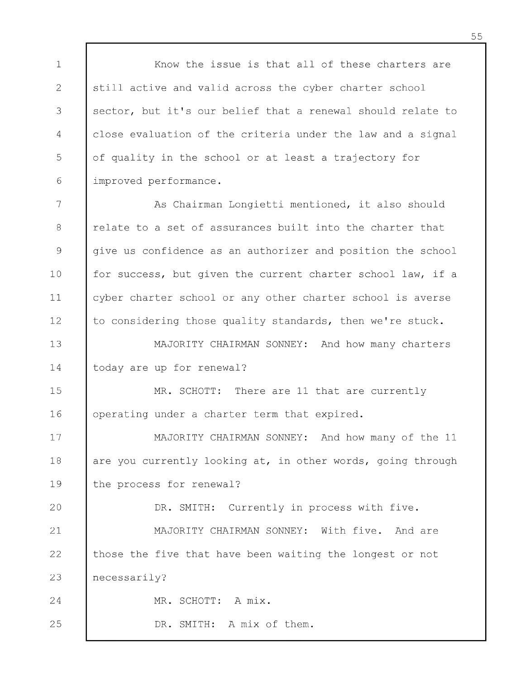1 2 3 4 5 6 Know the issue is that all of these charters are still active and valid across the cyber charter school sector, but it's our belief that a renewal should relate to close evaluation of the criteria under the law and a signal of quality in the school or at least a trajectory for improved performance.

7 8 9 10 11 12 As Chairman Longietti mentioned, it also should relate to a set of assurances built into the charter that give us confidence as an authorizer and position the school for success, but given the current charter school law, if a cyber charter school or any other charter school is averse to considering those quality standards, then we're stuck.

13 14 MAJORITY CHAIRMAN SONNEY: And how many charters today are up for renewal?

15 16 MR. SCHOTT: There are 11 that are currently operating under a charter term that expired.

17 18 19 MAJORITY CHAIRMAN SONNEY: And how many of the 11 are you currently looking at, in other words, going through the process for renewal?

20 21 22 23 DR. SMITH: Currently in process with five. MAJORITY CHAIRMAN SONNEY: With five. And are those the five that have been waiting the longest or not necessarily?

MR. SCHOTT: A mix.

24

25

DR. SMITH: A mix of them.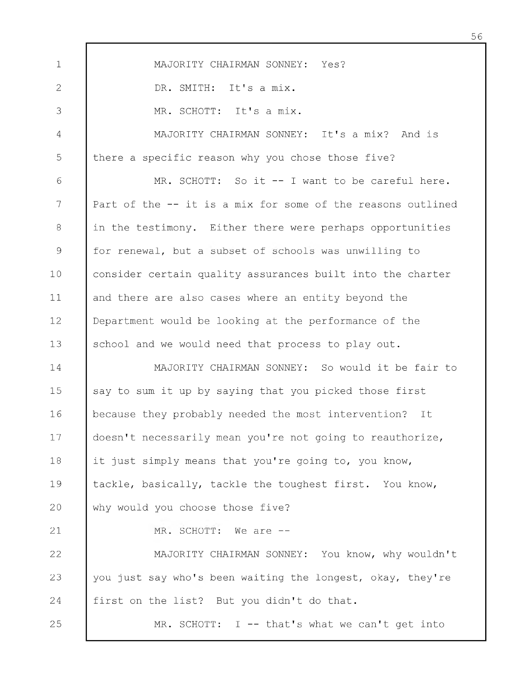1 2 3 4 5 6 7 8 9 10 11 12 13 14 15 16 17 18 19 20 21 22 23 24 25 MAJORITY CHAIRMAN SONNEY: Yes? DR. SMITH: It's a mix. MR. SCHOTT: It's a mix. MAJORITY CHAIRMAN SONNEY: It's a mix? And is there a specific reason why you chose those five? MR. SCHOTT: So it -- I want to be careful here. Part of the -- it is a mix for some of the reasons outlined in the testimony. Either there were perhaps opportunities for renewal, but a subset of schools was unwilling to consider certain quality assurances built into the charter and there are also cases where an entity beyond the Department would be looking at the performance of the school and we would need that process to play out. MAJORITY CHAIRMAN SONNEY: So would it be fair to say to sum it up by saying that you picked those first because they probably needed the most intervention? It doesn't necessarily mean you're not going to reauthorize, it just simply means that you're going to, you know, tackle, basically, tackle the toughest first. You know, why would you choose those five? MR. SCHOTT: We are --MAJORITY CHAIRMAN SONNEY: You know, why wouldn't you just say who's been waiting the longest, okay, they're first on the list? But you didn't do that. MR. SCHOTT:  $I$  -- that's what we can't get into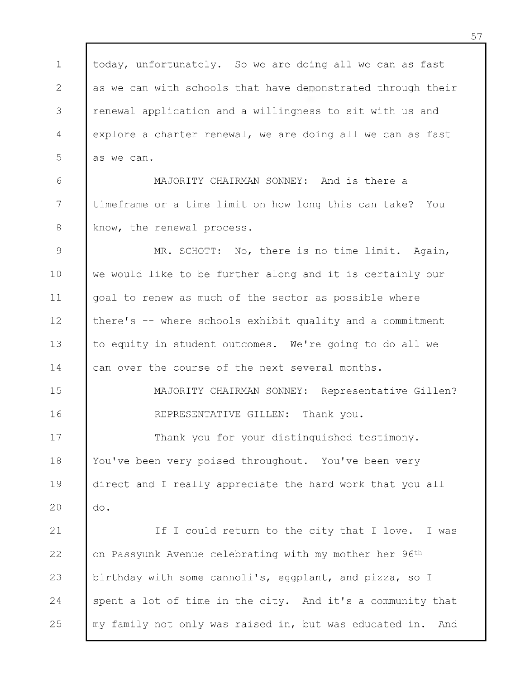1 2 3 4 5 today, unfortunately. So we are doing all we can as fast as we can with schools that have demonstrated through their renewal application and a willingness to sit with us and explore a charter renewal, we are doing all we can as fast as we can.

6 7 8 MAJORITY CHAIRMAN SONNEY: And is there a timeframe or a time limit on how long this can take? You know, the renewal process.

9 10 11 12 13 14 MR. SCHOTT: No, there is no time limit. Again, we would like to be further along and it is certainly our goal to renew as much of the sector as possible where there's -- where schools exhibit quality and a commitment to equity in student outcomes. We're going to do all we can over the course of the next several months.

> MAJORITY CHAIRMAN SONNEY: Representative Gillen? REPRESENTATIVE GILLEN: Thank you.

17 18 19 20 Thank you for your distinguished testimony. You've been very poised throughout. You've been very direct and I really appreciate the hard work that you all do.

15

16

21 22 23 24 25 If I could return to the city that I love. I was on Passyunk Avenue celebrating with my mother her 96th birthday with some cannoli's, eggplant, and pizza, so I spent a lot of time in the city. And it's a community that my family not only was raised in, but was educated in. And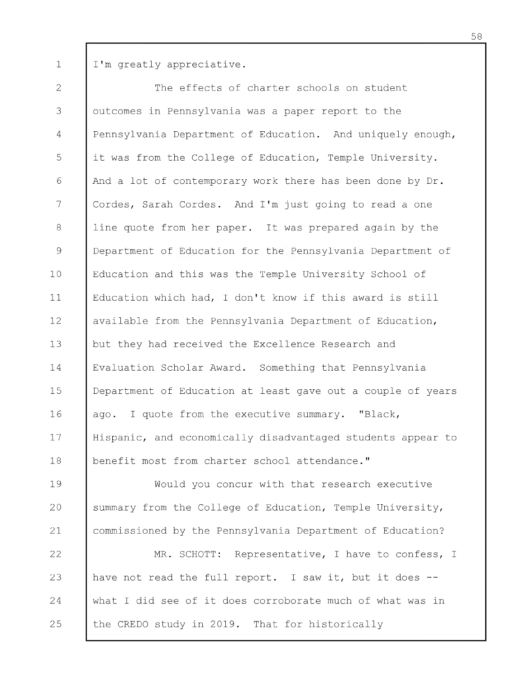1 I'm greatly appreciative.

2 3 4 5 6 7 8 9 10 11 12 13 14 15 16 17 18 The effects of charter schools on student outcomes in Pennsylvania was a paper report to the Pennsylvania Department of Education. And uniquely enough, it was from the College of Education, Temple University. And a lot of contemporary work there has been done by Dr. Cordes, Sarah Cordes. And I 'm just going to read a one line quote from her paper. It was prepared again by the Department of Education for the Pennsylvania Department of Education and this was the Temple University School of Education which had, I don't know if this award is still available from the Pennsylvania Department of Education, but they had received the Excellence Research and Evaluation Scholar Award. Something that Pennsylvania Department of Education at least gave out a couple of years ago. I quote from the executive summary. "Black, Hispanic, and economically disadvantaged students appear to benefit most from charter school attendance."

19 20 21 Would you concur with that research executive summary from the College of Education, Temple University, commissioned by the Pennsylvania Department of Education?

22 23 24 25 MR. SCHOTT: Representative, I have to confess, I have not read the full report. I saw it, but it does -what I did see of it does corroborate much of what was in the CREDO study in 2019. That for historically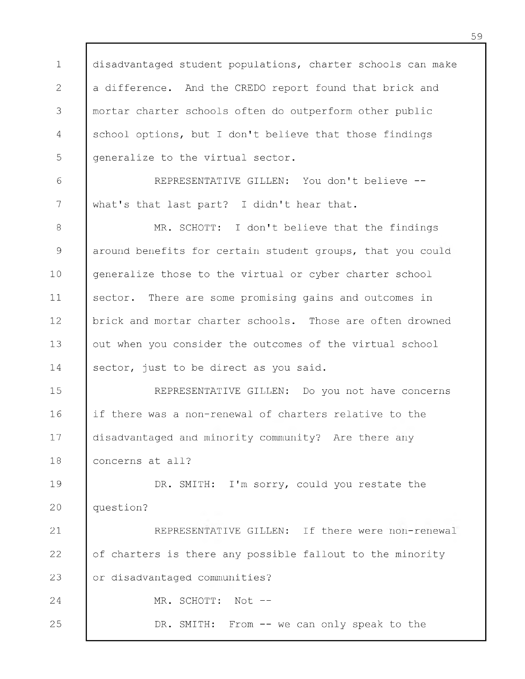1 2 3 4 5 disadvantaged student populations, charter schools can make a difference. And the CREDO report found that brick and mortar charter schools often do outperform other public school options, but I don't believe that those findings generalize to the virtual sector.

6 7 REPRESENTATIVE GILLEN: You don't believe -what's that last part? I didn't hear that.

8 9 10 11 12 13 14 MR. SCHOTT: I don't believe that the findings around benefits for certain student groups, that you could generalize those to the virtual or cyber charter school sector. There are some promising gains and outcomes in brick and mortar charter schools. Those are often drowned out when you consider the outcomes of the virtual school sector, just to be direct as you said.

15 16 17 18 REPRESENTATIVE GILLEN: Do you not have concerns if there was a non-renewal of charters relative to the disadvantaged and minority community? Are there any concerns at all?

19 20 DR. SMITH: I'm sorry, could you restate the question?

21 22 23 24 REPRESENTATIVE GILLEN: If there were non-renewal of charters is there any possible fallout to the minority or disadvantaged communities? MR. SCHOTT: Not --

DR. SMITH: From -- we can only speak to the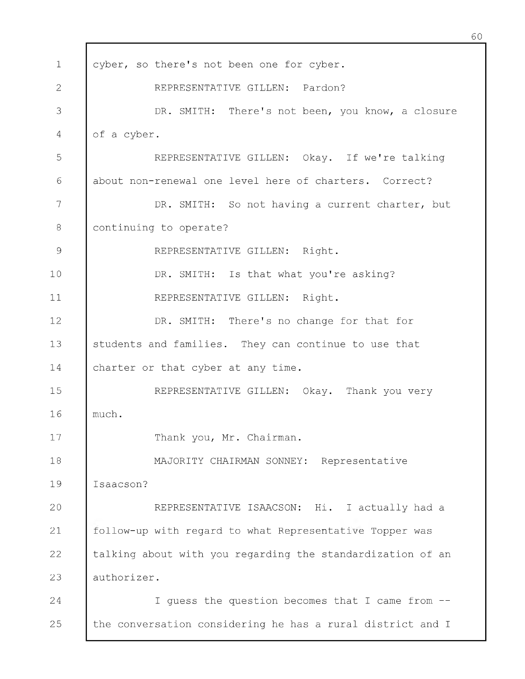| $\mathbf 1$   | cyber, so there's not been one for cyber.                  |
|---------------|------------------------------------------------------------|
| 2             | REPRESENTATIVE GILLEN: Pardon?                             |
| 3             | DR. SMITH: There's not been, you know, a closure           |
| 4             | of a cyber.                                                |
| 5             | REPRESENTATIVE GILLEN: Okay. If we're talking              |
| 6             | about non-renewal one level here of charters. Correct?     |
| 7             | DR. SMITH: So not having a current charter, but            |
| $\,8\,$       | continuing to operate?                                     |
| $\mathcal{G}$ | REPRESENTATIVE GILLEN: Right.                              |
| 10            | DR. SMITH: Is that what you're asking?                     |
| 11            | REPRESENTATIVE GILLEN: Right.                              |
| 12            | DR. SMITH: There's no change for that for                  |
| 13            | students and families. They can continue to use that       |
| 14            | charter or that cyber at any time.                         |
| 15            | REPRESENTATIVE GILLEN: Okay. Thank you very                |
| 16            | much.                                                      |
| 17            | Thank you, Mr. Chairman.                                   |
| 18            | MAJORITY CHAIRMAN SONNEY: Representative                   |
| 19            | Isaacson?                                                  |
| 20            | REPRESENTATIVE ISAACSON: Hi. I actually had a              |
| 21            | follow-up with regard to what Representative Topper was    |
| 22            | talking about with you regarding the standardization of an |
| 23            | authorizer.                                                |
| 24            | I guess the question becomes that I came from --           |
| 25            | the conversation considering he has a rural district and I |

Г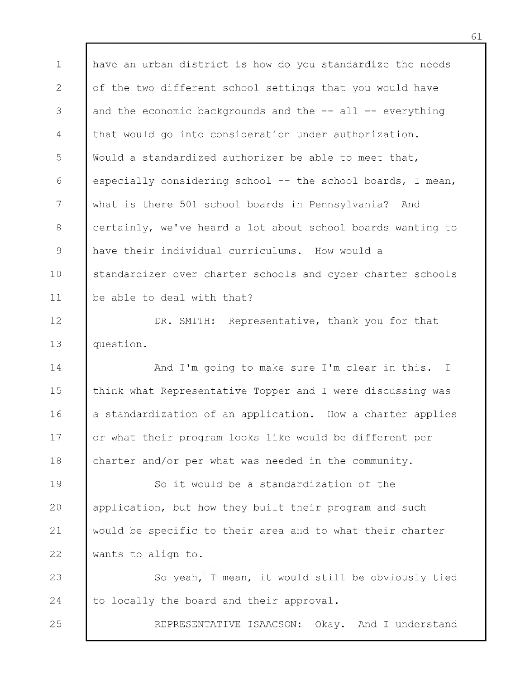1 2 3 4 5 6 7 8 9 10 11 have an urban district is how do you standardize the needs of the two different school settings that you would have and the economic backgrounds and the  $--$  all  $--$  everything that would go into consideration under authorization. Would a standardized authorizer be able to meet that, especially considering school -- the school boards, I mean, what is there 501 school boards in Pennsylvania? And certainly, we've heard a lot about school boards wanting to have their individual curriculums. How would a standardizer over charter schools and cyber charter schools be able to deal with that?

12 13 DR. SMITH: Representative, thank you for that question.

14 15 16 17 18 And I'm going to make sure I'm clear in this. I think what Representative Topper and I were discussing was a standardization of an application. How a charter applies or what their program looks like would be different per charter and/or per what was needed in the community.

19 20 21 22 So it would be a standardization of the application, but how they built their program and such would be specific to their area and to what their charter wants to align to.

23 24 So yeah, I mean, it would still be obviously tied to locally the board and their approval.

25

REPRESENTATIVE ISAACSON: Okay. And I understand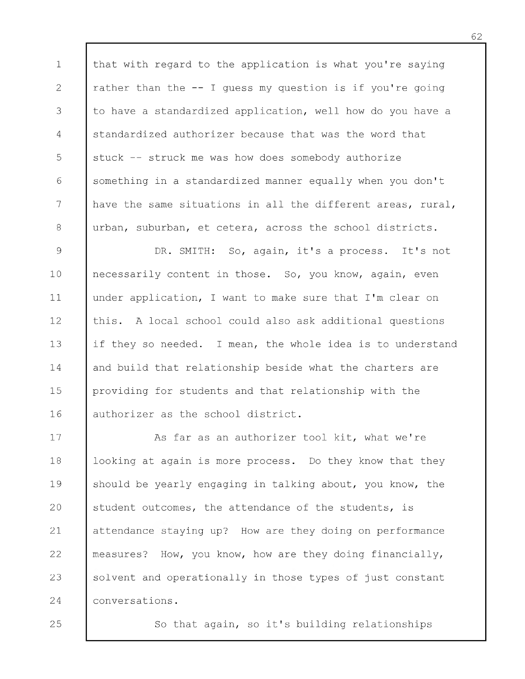1 2 3 4 5 6 7 8 that with regard to the application is what you're saying rather than the -- I guess my question is if you're going to have a standardized application, well how do you have a standardized authorizer because that was the word that stuck -- struck me was how does somebody authorize something in a standardized manner equally when you don't have the same situations in all the different areas, rural, urban, suburban, et cetera, across the school districts.

9 10 11 12 13 14 15 16 DR. SMITH: So, again, it's a process. It's not necessarily content in those. So, you know, again, even under application, I want to make sure that I'm clear on this. A local school could also ask additional questions if they so needed. I mean, the whole idea is to understand and build that relationship beside what the charters are providing for students and that relationship with the authorizer as the school district.

17 18 19 20 21 22 23 24 As far as an authorizer tool kit, what we're looking at again is more process. Do they know that they should be yearly engaging in talking about, you know, the student outcomes, the attendance of the students, is attendance staying up? How are they doing on performance measures? How, you know, how are they doing financially, solvent and operationally in those types of just constant conversations.

25

So that again, so it's building relationships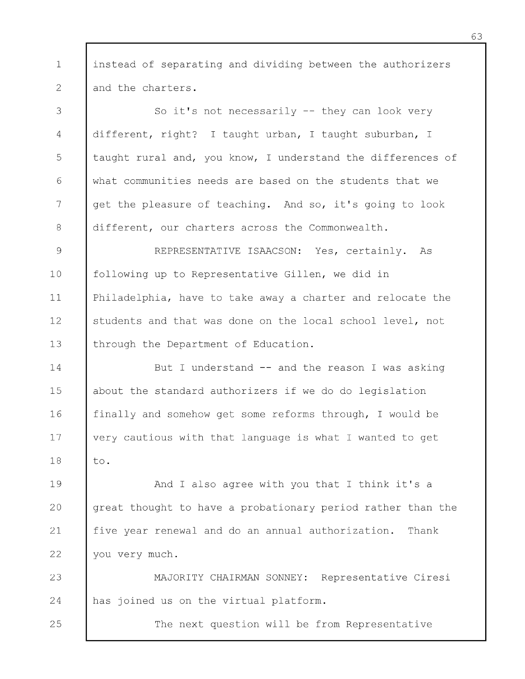1 2 instead of separating and dividing between the authorizers and the charters.

3 4 5 6 7 8 So it's not necessarily -- they can look very different, right? I taught urban, I taught suburban, I taught rural and, you know, I understand the differences of what communities needs are based on the students that we get the pleasure of teaching. And so, it's going to look different, our charters across the Commonwealth.

9 10 11 12 13 REPRESENTATIVE ISAACSON: Yes, certainly. As following up to Representative Gillen, we did in Philadelphia, have to take away a charter and relocate the students and that was done on the local school level, not through the Department of Education.

14 15 16 17 18 But I understand -- and the reason I was asking about the standard authorizers if we do do legislation finally and somehow get some reforms through, I would be very cautious with that language is what I wanted to get to.

19 20 21 22 And I also agree with you that I think it's a great thought to have a probationary period rather than the five year renewal and do an annual authorization. Thank you very much.

23 24 MAJORITY CHAIRMAN SONNEY: Representative Ciresi has joined us on the virtual platform.

25

The next question will be from Representative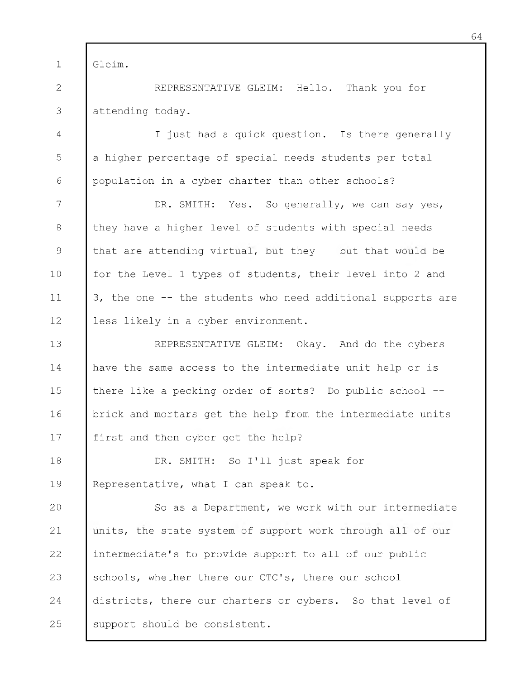1 Gleim.

2 3 REPRESENTATIVE GLEIM: Hello. Thank you for attending today.

4 5 6 I just had a quick question. Is there generally a higher percentage of special needs students per total population in a cyber charter than other schools?

7 8 9 10 11 12 DR. SMITH: Yes. So generally, we can say yes, they have a higher level of students with special needs that are attending virtual, but they -- but that would be for the Level 1 types of students, their level into 2 and 3, the one -- the students who need additional supports are less likely in a cyber environment.

13 14 15 16 17 REPRESENTATIVE GLEIM: Okay. And do the cybers have the same access to the intermediate unit help or is there like a pecking order of sorts? Do public school -brick and mortars get the help from the intermediate units first and then cyber get the help?

18 19 DR. SMITH: So I'll just speak for Representative, what I can speak to.

20 21 22 23 24 25 So as a Department, we work with our intermediate units, the state system of support work through all of our intermediate's to provide support to all of our public schools, whether there our CTC's, there our school districts, there our charters or cybers. So that level of support should be consistent.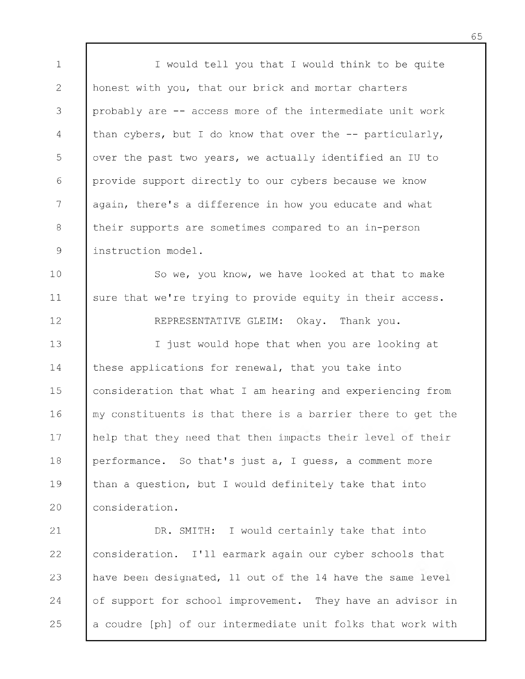1 2 3 4 5 6 7 8 9 I would tell you that I would think to be quite honest with you, that our brick and mortar charters probably are -- access more of the intermediate unit work than cybers, but I do know that over the -- particularly, over the past two years, we actually identified an IU to provide support directly to our cybers because we know again, there's a difference in how you educate and what their supports are sometimes compared to an in-person instruction model.

10 11 So we, you know, we have looked at that to make sure that we're trying to provide equity in their access.

12

REPRESENTATIVE GLEIM: Okay. Thank you.

13 14 15 16 17 18 19 20 I just would hope that when you are looking at these applications for renewal, that you take into consideration that what I am hearing and experiencing from my constituents is that there is a barrier there to get the help that they need that then impacts their level of their performance. So that's just a, I guess, a comment more than a question, but I would definitely take that into consideration.

21 22 23 24 25 DR. SMITH: I would certainly take that into consideration. I 'll earmark again our cyber schools that have been designated, 11 out of the 14 have the same level of support for school improvement. They have an advisor in a coudre [ph] of our intermediate unit folks that work with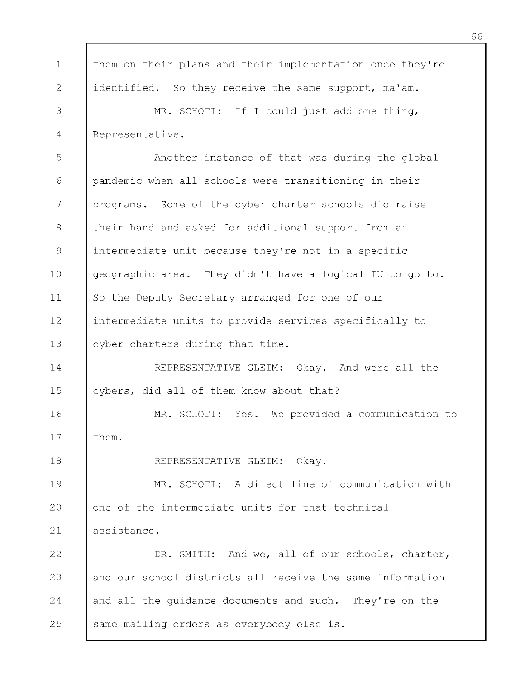1 2 3 4 5 6 7 8 9 10 11 12 13 14 15 16 17 18 19 20 21 22 23 24 25 them on their plans and their implementation once they're identified. So they receive the same support, ma'am. MR. SCHOTT: If I could just add one thing, Representative. Another instance of that was during the global pandemic when all schools were transitioning in their programs. Some of the cyber charter schools did raise their hand and asked for additional support from an intermediate unit because they're not in a specific geographic area. They didn't have a logical IU to go to. So the Deputy Secretary arranged for one of our intermediate units to provide services specifically to cyber charters during that time. REPRESENTATIVE GLEIM: Okay. And were all the cybers, did all of them know about that? MR. SCHOTT: Yes. We provided a communication to them. REPRESENTATIVE GLEIM: Okay. MR. SCHOTT: A direct line of communication with one of the intermediate units for that technical assistance. DR. SMITH: And we, all of our schools, charter, and our school districts all receive the same information and all the guidance documents and such. They're on the same mailing orders as everybody else is.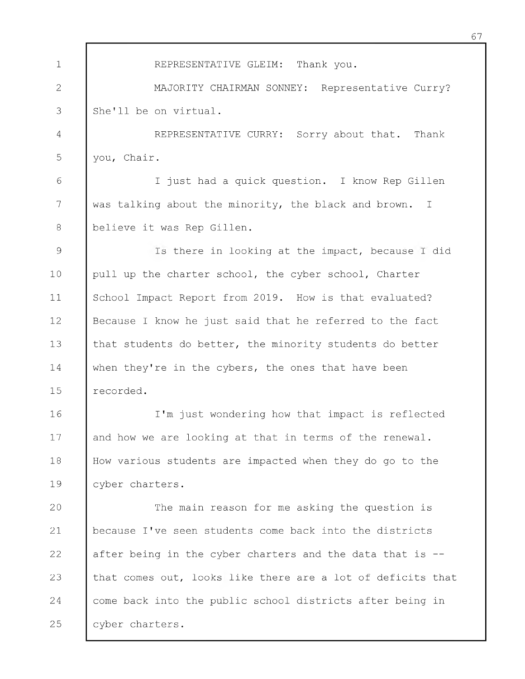1 2 3 4 5 6 7 8 9 10 11 12 13 14 15 16 17 18 19 20 21 22 23 24 25 REPRESENTATIVE GLEIM: Thank you. MAJORITY CHAIRMAN SONNEY: Representative Curry? She'll be on virtual. REPRESENTATIVE CURRY: Sorry about that. Thank you, Chair. I just had a quick question. I know Rep Gillen was talking about the minority, the black and brown. I believe it was Rep Gillen. Is there in looking at the impact, because I did pull up the charter school, the cyber school, Charter School Impact Report from 2019. How is that evaluated? Because I know he just said that he referred to the fact that students do better, the minority students do better when they're in the cybers, the ones that have been recorded. I 'm just wondering how that impact is reflected and how we are looking at that in terms of the renewal. How various students are impacted when they do go to the cyber charters. The main reason for me asking the question is because I 've seen students come back into the districts after being in the cyber charters and the data that is -that comes out, looks like there are a lot of deficits that come back into the public school districts after being in cyber charters.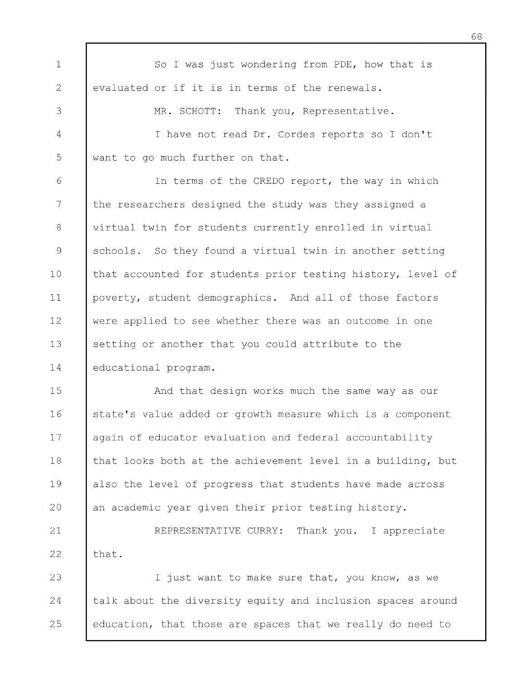1 2 3 4 5 6 7 8 9 10 11 12 13 14 15 16 17 18 19 20 21 22 23 24 So I was just wondering from PDE, how that is evaluated or if it is in terms of the renewals. MR. SCHOTT: Thank you, Representative. I have not read Dr. Cordes reports so I don't want to go much further on that. In terms of the CREDO report, the way in which the researchers designed the study was they assigned a virtual twin for students currently enrolled in virtual schools. So they found a virtual twin in another setting that accounted for students prior testing history, level of poverty, student demographics. And all of those factors were applied to see whether there was an outcome in one setting or another that you could attribute to the educational program. And that design works much the same way as our state's value added or growth measure which is a component again of educator evaluation and federal accountability that looks both at the achievement level in a building, but also the level of progress that students have made across an academic year given their prior testing history. REPRESENTATIVE CURRY: Thank you. I appreciate that. I just want to make sure that, you know, as we talk about the diversity equity and inclusion spaces around

education, that those are spaces that we really do need to

25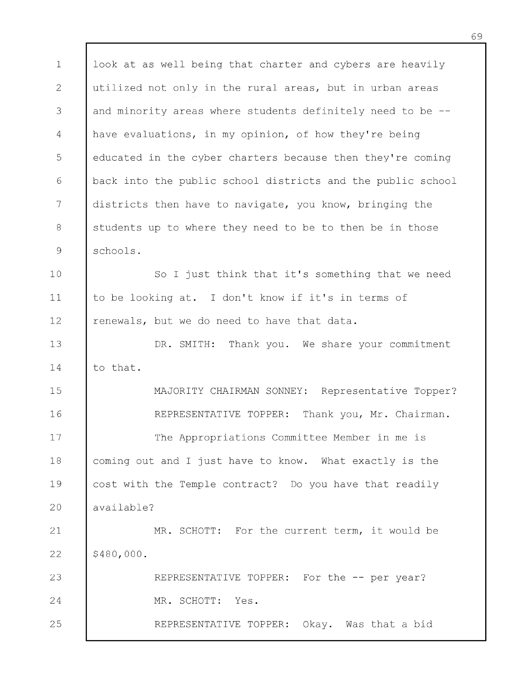1 2 3 4 5 6 7 8 9 10 11 12 13 14 15 16 17 18 19 20 21 22 23 24 25 look at as well being that charter and cybers are heavily utilized not only in the rural areas, but in urban areas and minority areas where students definitely need to be have evaluations, in my opinion, of how they're being educated in the cyber charters because then they're coming back into the public school districts and the public school districts then have to navigate, you know, bringing the students up to where they need to be to then be in those schools. So I just think that it's something that we need to be looking at. I don't know if it's in terms of renewals, but we do need to have that data. DR. SMITH: Thank you. We share your commitment to that. MAJORITY CHAIRMAN SONNEY: Representative Topper? REPRESENTATIVE TOPPER: Thank you, Mr. Chairman. The Appropriations Committee Member in me is coming out and I just have to know. What exactly is the cost with the Temple contract? Do you have that readily available? MR. SCHOTT: For the current term, it would be \$480,000. REPRESENTATIVE TOPPER: For the -- per year? MR. SCHOTT: Yes. REPRESENTATIVE TOPPER: Okay. Was that a bid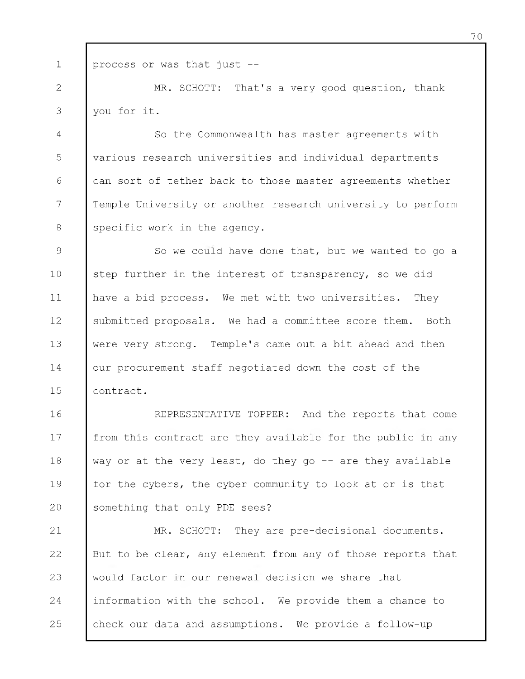1 process or was that just -

2 3 MR. SCHOTT: That's a very good question, thank you for it.

4 5 6 7 8 So the Commonwealth has master agreements with various research universities and individual departments can sort of tether back to those master agreements whether Temple University or another research university to perform specific work in the agency.

9 10 11 12 13 14 15 So we could have done that, but we wanted to go a step further in the interest of transparency, so we did have a bid process. We met with two universities. They submitted proposals. We had a committee score them. Both were very strong. Temple's came out a bit ahead and then our procurement staff negotiated down the cost of the contract.

16 17 18 19 20 REPRESENTATIVE TOPPER: And the reports that come from this contract are they available for the public in any way or at the very least, do they go  $-$  are they available for the cybers, the cyber community to look at or is that something that only PDE sees?

21 22 23 24 25 MR. SCHOTT: They are pre-decisional documents. But to be clear, any element from any of those reports that would factor in our renewal decision we share that information with the school. We provide them a chance to check our data and assumptions. We provide a follow-up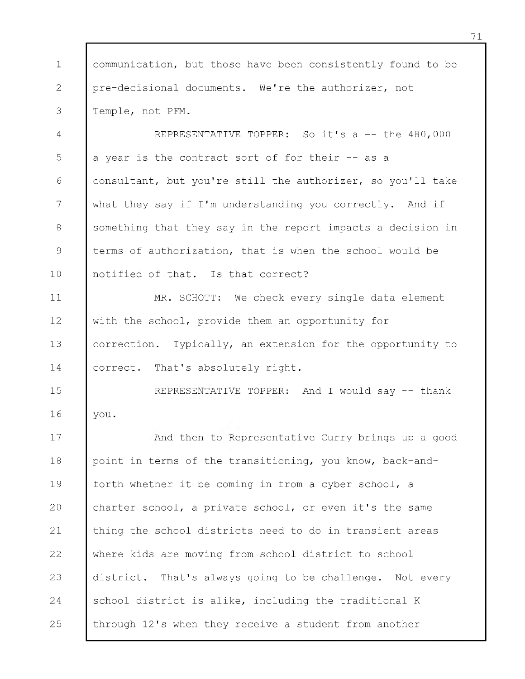| $\mathbf 1$   | communication, but those have been consistently found to be |
|---------------|-------------------------------------------------------------|
| 2             | pre-decisional documents. We're the authorizer, not         |
| 3             | Temple, not PFM.                                            |
| 4             | REPRESENTATIVE TOPPER: So it's a -- the 480,000             |
| 5             | a year is the contract sort of for their -- as a            |
| 6             | consultant, but you're still the authorizer, so you'll take |
| 7             | what they say if I'm understanding you correctly. And if    |
| 8             | something that they say in the report impacts a decision in |
| $\mathcal{G}$ | terms of authorization, that is when the school would be    |
| 10            | notified of that. Is that correct?                          |
| 11            | MR. SCHOTT: We check every single data element              |
| 12            | with the school, provide them an opportunity for            |
| 13            | correction. Typically, an extension for the opportunity to  |
| 14            | correct. That's absolutely right.                           |
| 15            | REPRESENTATIVE TOPPER: And I would say -- thank             |
| 16            | you.                                                        |
| 17            | And then to Representative Curry brings up a good           |
| 18            | point in terms of the transitioning, you know, back-and-    |
| 19            | forth whether it be coming in from a cyber school, a        |
| 20            | charter school, a private school, or even it's the same     |
| 21            | thing the school districts need to do in transient areas    |
| 22            | where kids are moving from school district to school        |
| 23            | district. That's always going to be challenge. Not every    |
| 24            | school district is alike, including the traditional K       |
| 25            | through 12's when they receive a student from another       |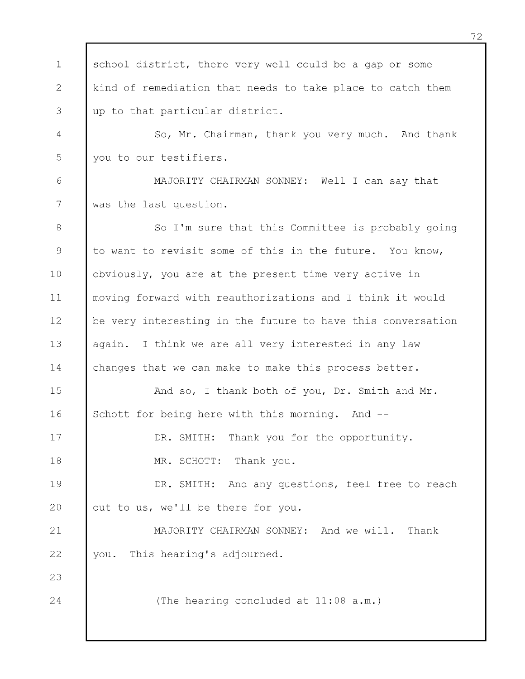1 2 3 4 5 6 7 8 9 10 11 12 13 14 15 16 17 18 19 20 21 22 23 24 school district, there very well could be a gap or some kind of remediation that needs to take place to catch them up to that particular district. So, Mr. Chairman, thank you very much. And thank you to our testifiers. MAJORITY CHAIRMAN SONNEY: Well I can say that was the last question. So I'm sure that this Committee is probably going to want to revisit some of this in the future. You know, obviously, you are at the present time very active in moving forward with reauthorizations and I think it would be very interesting in the future to have this conversation again. I think we are all very interested in any law changes that we can make to make this process better. And so, I thank both of you, Dr. Smith and Mr. Schott for being here with this morning. And --DR. SMITH: Thank you for the opportunity. MR. SCHOTT: Thank you. DR. SMITH: And any questions, feel free to reach out to us, we'll be there for you. MAJORITY CHAIRMAN SONNEY: And we will. Thank you. This hearing's adjourned. (The hearing concluded at 11:08 a.m.)